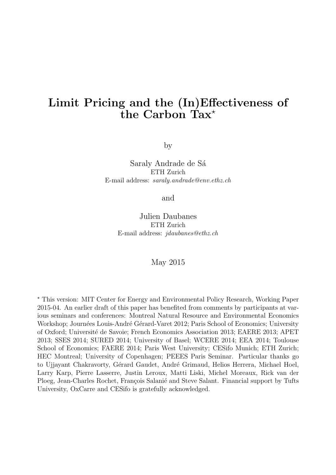# Limit Pricing and the (In)Effectiveness of the Carbon Tax<sup>\*</sup>

by

# Saraly Andrade de Sá ETH Zurich E-mail address: saraly.andrade@env.ethz.ch

and

Julien Daubanes ETH Zurich E-mail address: jdaubanes@ethz.ch

# May 2015

<sup>⋆</sup> This version: MIT Center for Energy and Environmental Policy Research, Working Paper 2015-04. An earlier draft of this paper has benefited from comments by participants at various seminars and conferences: Montreal Natural Resource and Environmental Economics Workshop; Journées Louis-André Gérard-Varet 2012; Paris School of Economics; University of Oxford; Universit´e de Savoie; French Economics Association 2013; EAERE 2013; APET 2013; SSES 2014; SURED 2014; University of Basel; WCERE 2014; EEA 2014; Toulouse School of Economics; FAERE 2014; Paris West University; CESifo Munich; ETH Zurich; HEC Montreal; University of Copenhagen; PEEES Paris Seminar. Particular thanks go to Ujjayant Chakravorty, Gérard Gaudet, André Grimaud, Helios Herrera, Michael Hoel, Larry Karp, Pierre Lasserre, Justin Leroux, Matti Liski, Michel Moreaux, Rick van der Ploeg, Jean-Charles Rochet, François Salanié and Steve Salant. Financial support by Tufts University, OxCarre and CESifo is gratefully acknowledged.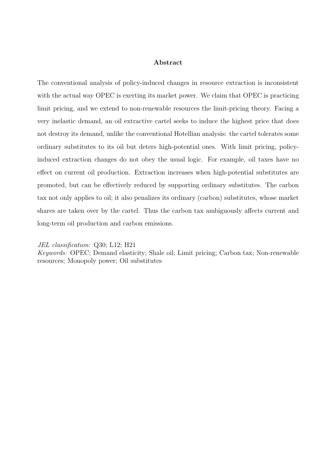#### Abstract

The conventional analysis of policy-induced changes in resource extraction is inconsistent with the actual way OPEC is exerting its market power. We claim that OPEC is practicing limit pricing, and we extend to non-renewable resources the limit-pricing theory. Facing a very inelastic demand, an oil extractive cartel seeks to induce the highest price that does not destroy its demand, unlike the conventional Hotellian analysis: the cartel tolerates some ordinary substitutes to its oil but deters high-potential ones. With limit pricing, policyinduced extraction changes do not obey the usual logic. For example, oil taxes have no effect on current oil production. Extraction increases when high-potential substitutes are promoted, but can be effectively reduced by supporting ordinary substitutes. The carbon tax not only applies to oil; it also penalizes its ordinary (carbon) substitutes, whose market shares are taken over by the cartel. Thus the carbon tax ambiguously affects current and long-term oil production and carbon emissions.

JEL classification: Q30; L12; H21

Keywords: OPEC; Demand elasticity; Shale oil; Limit pricing; Carbon tax; Non-renewable resources; Monopoly power; Oil substitutes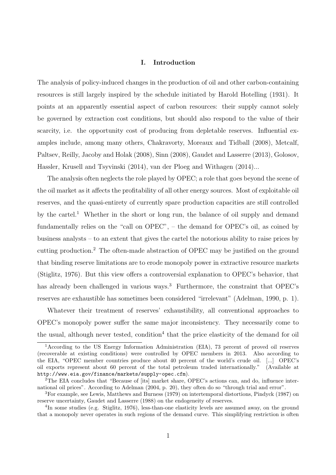#### I. Introduction

The analysis of policy-induced changes in the production of oil and other carbon-containing resources is still largely inspired by the schedule initiated by Harold Hotelling (1931). It points at an apparently essential aspect of carbon resources: their supply cannot solely be governed by extraction cost conditions, but should also respond to the value of their scarcity, i.e. the opportunity cost of producing from depletable reserves. Influential examples include, among many others, Chakravorty, Moreaux and Tidball (2008), Metcalf, Paltsev, Reilly, Jacoby and Holak (2008), Sinn (2008), Gaudet and Lasserre (2013), Golosov, Hassler, Krusell and Tsyvinski (2014), van der Ploeg and Withagen (2014)...

The analysis often neglects the role played by OPEC; a role that goes beyond the scene of the oil market as it affects the profitability of all other energy sources. Most of exploitable oil reserves, and the quasi-entirety of currently spare production capacities are still controlled by the cartel.<sup>1</sup> Whether in the short or long run, the balance of oil supply and demand fundamentally relies on the "call on OPEC", – the demand for OPEC's oil, as coined by business analysts – to an extent that gives the cartel the notorious ability to raise prices by cutting production.<sup>2</sup> The often-made abstraction of OPEC may be justified on the ground that binding reserve limitations are to erode monopoly power in extractive resource markets (Stiglitz, 1976). But this view offers a controversial explanation to OPEC's behavior, that has already been challenged in various ways.<sup>3</sup> Furthermore, the constraint that OPEC's reserves are exhaustible has sometimes been considered "irrelevant" (Adelman, 1990, p. 1).

Whatever their treatment of reserves' exhaustibility, all conventional approaches to OPEC's monopoly power suffer the same major inconsistency. They necessarily come to the usual, although never tested, condition<sup>4</sup> that the price elasticity of the demand for oil

<sup>1</sup>According to the US Energy Information Administration (EIA), 73 percent of proved oil reserves (recoverable at existing conditions) were controlled by OPEC members in 2013. Also according to the EIA, "OPEC member countries produce about 40 percent of the world's crude oil. [...] OPEC's oil exports represent about 60 percent of the total petroleum traded internationally." (Available at http://www.eia.gov/finance/markets/supply-opec.cfm).

<sup>&</sup>lt;sup>2</sup>The EIA concludes that "Because of [its] market share, OPEC's actions can, and do, influence international oil prices". According to Adelman (2004, p. 20), they often do so "through trial and error".

<sup>3</sup>For example, see Lewis, Matthews and Burness (1979) on intertemporal distortions, Pindyck (1987) on reserve uncertainty, Gaudet and Lasserre (1988) on the endogeneity of reserves.

<sup>&</sup>lt;sup>4</sup>In some studies (e.g. Stiglitz, 1976), less-than-one elasticity levels are assumed away, on the ground that a monopoly never operates in such regions of the demand curve. This simplifying restriction is often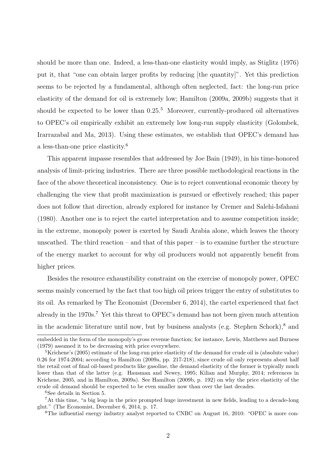should be more than one. Indeed, a less-than-one elasticity would imply, as Stiglitz (1976) put it, that "one can obtain larger profits by reducing [the quantity]". Yet this prediction seems to be rejected by a fundamental, although often neglected, fact: the long-run price elasticity of the demand for oil is extremely low; Hamilton (2009a, 2009b) suggests that it should be expected to be lower than  $0.25<sup>5</sup>$  Moreover, currently-produced oil alternatives to OPEC's oil empirically exhibit an extremely low long-run supply elasticity (Golombek, Irarrazabal and Ma, 2013). Using these estimates, we establish that OPEC's demand has a less-than-one price elasticity.<sup>6</sup>

This apparent impasse resembles that addressed by Joe Bain (1949), in his time-honored analysis of limit-pricing industries. There are three possible methodological reactions in the face of the above theoretical inconsistency. One is to reject conventional economic theory by challenging the view that profit maximization is pursued or effectively reached; this paper does not follow that direction, already explored for instance by Cremer and Salehi-Isfahani (1980). Another one is to reject the cartel interpretation and to assume competition inside; in the extreme, monopoly power is exerted by Saudi Arabia alone, which leaves the theory unscathed. The third reaction – and that of this paper – is to examine further the structure of the energy market to account for why oil producers would not apparently benefit from higher prices.

Besides the resource exhaustibility constraint on the exercise of monopoly power, OPEC seems mainly concerned by the fact that too high oil prices trigger the entry of substitutes to its oil. As remarked by The Economist (December 6, 2014), the cartel experienced that fact already in the 1970s.<sup>7</sup> Yet this threat to OPEC's demand has not been given much attention in the academic literature until now, but by business analysts (e.g. Stephen Schork),<sup>8</sup> and

embedded in the form of the monopoly's gross revenue function; for instance, Lewis, Matthews and Burness (1979) assumed it to be decreasing with price everywhere.

<sup>&</sup>lt;sup>5</sup>Krichene's (2005) estimate of the long-run price elasticity of the demand for crude oil is (absolute value) 0.26 for 1974-2004; according to Hamilton (2009a, pp. 217-218), since crude oil only represents about half the retail cost of final oil-based products like gasoline, the demand elasticity of the former is typically much lower than that of the latter (e.g. Hausman and Newey, 1995; Kilian and Murphy, 2014; references in Krichene, 2005, and in Hamilton, 2009a). See Hamilton (2009b, p. 192) on why the price elasticity of the crude oil demand should be expected to be even smaller now than over the last decades.

<sup>6</sup>See details in Section 5.

<sup>7</sup>At this time, "a big leap in the price prompted huge investment in new fields, leading to a decade-long glut." (The Economist, December 6, 2014, p. 17.

<sup>&</sup>lt;sup>8</sup>The influential energy industry analyst reported to CNBC on August 16, 2010: "OPEC is more con-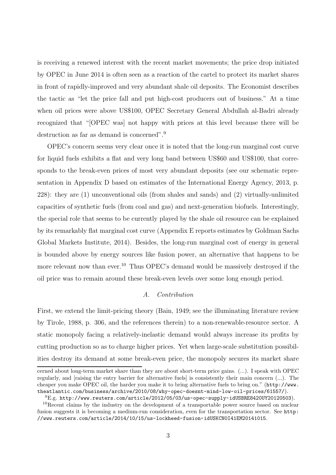is receiving a renewed interest with the recent market movements; the price drop initiated by OPEC in June 2014 is often seen as a reaction of the cartel to protect its market shares in front of rapidly-improved and very abundant shale oil deposits. The Economist describes the tactic as "let the price fall and put high-cost producers out of business." At a time when oil prices were above US\$100, OPEC Secretary General Abdullah al-Badri already recognized that "[OPEC was] not happy with prices at this level because there will be destruction as far as demand is concerned".<sup>9</sup>

OPEC's concern seems very clear once it is noted that the long-run marginal cost curve for liquid fuels exhibits a flat and very long band between US\$60 and US\$100, that corresponds to the break-even prices of most very abundant deposits (see our schematic representation in Appendix D based on estimates of the International Energy Agency, 2013, p. 228): they are (1) unconventional oils (from shales and sands) and (2) virtually-unlimited capacities of synthetic fuels (from coal and gas) and next-generation biofuels. Interestingly, the special role that seems to be currently played by the shale oil resource can be explained by its remarkably flat marginal cost curve (Appendix E reports estimates by Goldman Sachs Global Markets Institute, 2014). Besides, the long-run marginal cost of energy in general is bounded above by energy sources like fusion power, an alternative that happens to be more relevant now than ever.<sup>10</sup> Thus OPEC's demand would be massively destroyed if the oil price was to remain around these break-even levels over some long enough period.

# A. Contribution

First, we extend the limit-pricing theory (Bain, 1949; see the illuminating literature review by Tirole, 1988, p. 306, and the references therein) to a non-renewable-resource sector. A static monopoly facing a relatively-inelastic demand would always increase its profits by cutting production so as to charge higher prices. Yet when large-scale substitution possibilities destroy its demand at some break-even price, the monopoly secures its market share

cerned about long-term market share than they are about short-term price gains. (...). I speak with OPEC regularly, and [raising the entry barrier for alternative fuels] is consistently their main concern (...). The cheaper you make OPEC oil, the harder you make it to bring alternative fuels to bring on." (http://www. theatlantic.com/business/archive/2010/08/why-opec-doesnt-mind-low-oil-prices/61557/).

 $^{9}$ E.g. http://www.reuters.com/article/2012/05/03/us-opec-supply-idUSBRE8420UY20120503).

<sup>&</sup>lt;sup>10</sup>Recent claims by the industry on the development of a transportable power source based on nuclear fusion suggests it is becoming a medium-run consideration, even for the transportation sector. See http: //www.reuters.com/article/2014/10/15/us-lockheed-fusion-idUSKCN0I41EM20141015.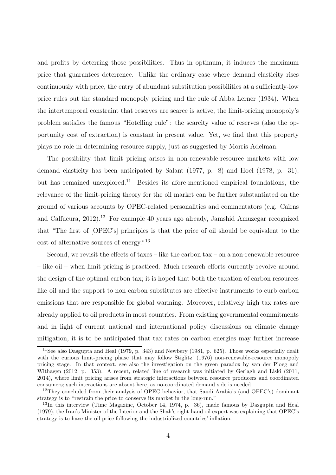and profits by deterring those possibilities. Thus in optimum, it induces the maximum price that guarantees deterrence. Unlike the ordinary case where demand elasticity rises continuously with price, the entry of abundant substitution possibilities at a sufficiently-low price rules out the standard monopoly pricing and the rule of Abba Lerner (1934). When the intertemporal constraint that reserves are scarce is active, the limit-pricing monopoly's problem satisfies the famous "Hotelling rule": the scarcity value of reserves (also the opportunity cost of extraction) is constant in present value. Yet, we find that this property plays no role in determining resource supply, just as suggested by Morris Adelman.

The possibility that limit pricing arises in non-renewable-resource markets with low demand elasticity has been anticipated by Salant (1977, p. 8) and Hoel (1978, p. 31), but has remained unexplored.<sup>11</sup> Besides its afore-mentioned empirical foundations, the relevance of the limit-pricing theory for the oil market can be further substantiated on the ground of various accounts by OPEC-related personalities and commentators (e.g. Cairns and Calfucura, 2012).<sup>12</sup> For example 40 years ago already, Jamshid Amuzegar recognized that "The first of [OPEC's] principles is that the price of oil should be equivalent to the cost of alternative sources of energy."<sup>13</sup>

Second, we revisit the effects of taxes – like the carbon  $\text{tax}$  – on a non-renewable resource – like oil – when limit pricing is practiced. Much research efforts currently revolve around the design of the optimal carbon tax; it is hoped that both the taxation of carbon resources like oil and the support to non-carbon substitutes are effective instruments to curb carbon emissions that are responsible for global warming. Moreover, relatively high tax rates are already applied to oil products in most countries. From existing governmental commitments and in light of current national and international policy discussions on climate change mitigation, it is to be anticipated that tax rates on carbon energies may further increase

<sup>11</sup>See also Dasgupta and Heal (1979, p. 343) and Newbery (1981, p. 625). Those works especially dealt with the curious limit-pricing phase that may follow Stiglitz' (1976) non-renewable-resource monopoly pricing stage. In that context, see also the investigation on the green paradox by van der Ploeg and Withagen (2012, p. 353). A recent, related line of research was initiated by Gerlagh and Liski (2011, 2014), where limit pricing arises from strategic interactions between resource producers and coordinated consumers; such interactions are absent here, as no-coordinated demand side is needed.

<sup>&</sup>lt;sup>12</sup>They concluded from their analysis of OPEC behavior, that Saudi Arabia's (and OPEC's) dominant strategy is to "restrain the price to conserve its market in the long-run."

<sup>13</sup>In this interview (Time Magazine, October 14, 1974, p. 36), made famous by Dasgupta and Heal (1979), the Iran's Minister of the Interior and the Shah's right-hand oil expert was explaining that OPEC's strategy is to have the oil price following the industrialized countries' inflation.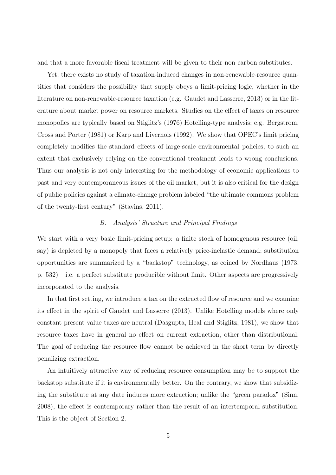and that a more favorable fiscal treatment will be given to their non-carbon substitutes.

Yet, there exists no study of taxation-induced changes in non-renewable-resource quantities that considers the possibility that supply obeys a limit-pricing logic, whether in the literature on non-renewable-resource taxation (e.g. Gaudet and Lasserre, 2013) or in the literature about market power on resource markets. Studies on the effect of taxes on resource monopolies are typically based on Stiglitz's (1976) Hotelling-type analysis; e.g. Bergstrom, Cross and Porter (1981) or Karp and Livernois (1992). We show that OPEC's limit pricing completely modifies the standard effects of large-scale environmental policies, to such an extent that exclusively relying on the conventional treatment leads to wrong conclusions. Thus our analysis is not only interesting for the methodology of economic applications to past and very contemporaneous issues of the oil market, but it is also critical for the design of public policies against a climate-change problem labeled "the ultimate commons problem of the twenty-first century" (Stavins, 2011).

#### B. Analysis' Structure and Principal Findings

We start with a very basic limit-pricing setup: a finite stock of homogenous resource (oil, say) is depleted by a monopoly that faces a relatively price-inelastic demand; substitution opportunities are summarized by a "backstop" technology, as coined by Nordhaus (1973, p. 532) – i.e. a perfect substitute producible without limit. Other aspects are progressively incorporated to the analysis.

In that first setting, we introduce a tax on the extracted flow of resource and we examine its effect in the spirit of Gaudet and Lasserre (2013). Unlike Hotelling models where only constant-present-value taxes are neutral (Dasgupta, Heal and Stiglitz, 1981), we show that resource taxes have in general no effect on current extraction, other than distributional. The goal of reducing the resource flow cannot be achieved in the short term by directly penalizing extraction.

An intuitively attractive way of reducing resource consumption may be to support the backstop substitute if it is environmentally better. On the contrary, we show that subsidizing the substitute at any date induces more extraction; unlike the "green paradox" (Sinn, 2008), the effect is contemporary rather than the result of an intertemporal substitution. This is the object of Section 2.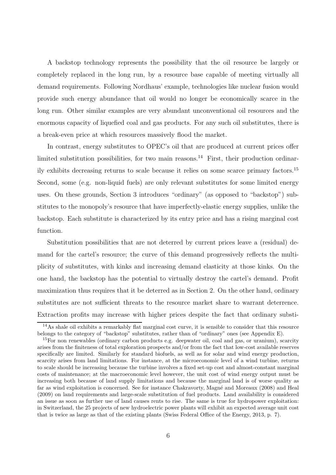A backstop technology represents the possibility that the oil resource be largely or completely replaced in the long run, by a resource base capable of meeting virtually all demand requirements. Following Nordhaus' example, technologies like nuclear fusion would provide such energy abundance that oil would no longer be economically scarce in the long run. Other similar examples are very abundant unconventional oil resources and the enormous capacity of liquefied coal and gas products. For any such oil substitutes, there is a break-even price at which resources massively flood the market.

In contrast, energy substitutes to OPEC's oil that are produced at current prices offer limited substitution possibilities, for two main reasons.<sup>14</sup> First, their production ordinarily exhibits decreasing returns to scale because it relies on some scarce primary factors.<sup>15</sup> Second, some (e.g. non-liquid fuels) are only relevant substitutes for some limited energy uses. On these grounds, Section 3 introduces "ordinary" (as opposed to "backstop") substitutes to the monopoly's resource that have imperfectly-elastic energy supplies, unlike the backstop. Each substitute is characterized by its entry price and has a rising marginal cost function.

Substitution possibilities that are not deterred by current prices leave a (residual) demand for the cartel's resource; the curve of this demand progressively reflects the multiplicity of substitutes, with kinks and increasing demand elasticity at those kinks. On the one hand, the backstop has the potential to virtually destroy the cartel's demand. Profit maximization thus requires that it be deterred as in Section 2. On the other hand, ordinary substitutes are not sufficient threats to the resource market share to warrant deterrence. Extraction profits may increase with higher prices despite the fact that ordinary substi-

<sup>14</sup>As shale oil exhibits a remarkably flat marginal cost curve, it is sensible to consider that this resource belongs to the category of "backstop" substitutes, rather than of "ordinary" ones (see Appendix E).

<sup>&</sup>lt;sup>15</sup>For non renewables (ordinary carbon products e.g. deepwater oil, coal and gas, or uranium), scarcity arises from the finiteness of total exploration prospects and/or from the fact that low-cost available reserves specifically are limited. Similarly for standard biofuels, as well as for solar and wind energy production, scarcity arises from land limitations. For instance, at the microeconomic level of a wind turbine, returns to scale should be increasing because the turbine involves a fixed set-up cost and almost-constant marginal costs of maintenance; at the macroeconomic level however, the unit cost of wind energy output must be increasing both because of land supply limitations and because the marginal land is of worse quality as far as wind exploitation is concerned. See for instance Chakravorty, Magné and Moreaux (2008) and Heal (2009) on land requirements and large-scale substitution of fuel products. Land availability is considered an issue as soon as further use of land causes rents to rise. The same is true for hydropower exploitation: in Switzerland, the 25 projects of new hydroelectric power plants will exhibit an expected average unit cost that is twice as large as that of the existing plants (Swiss Federal Office of the Energy, 2013, p. 7).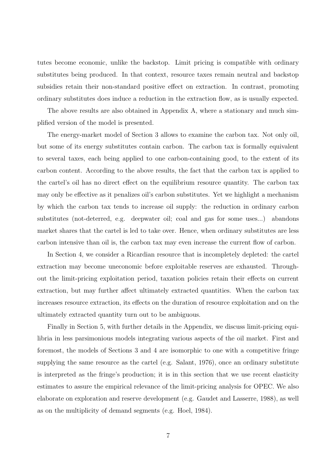tutes become economic, unlike the backstop. Limit pricing is compatible with ordinary substitutes being produced. In that context, resource taxes remain neutral and backstop subsidies retain their non-standard positive effect on extraction. In contrast, promoting ordinary substitutes does induce a reduction in the extraction flow, as is usually expected.

The above results are also obtained in Appendix A, where a stationary and much simplified version of the model is presented.

The energy-market model of Section 3 allows to examine the carbon tax. Not only oil, but some of its energy substitutes contain carbon. The carbon tax is formally equivalent to several taxes, each being applied to one carbon-containing good, to the extent of its carbon content. According to the above results, the fact that the carbon tax is applied to the cartel's oil has no direct effect on the equilibrium resource quantity. The carbon tax may only be effective as it penalizes oil's carbon substitutes. Yet we highlight a mechanism by which the carbon tax tends to increase oil supply: the reduction in ordinary carbon substitutes (not-deterred, e.g. deepwater oil; coal and gas for some uses...) abandons market shares that the cartel is led to take over. Hence, when ordinary substitutes are less carbon intensive than oil is, the carbon tax may even increase the current flow of carbon.

In Section 4, we consider a Ricardian resource that is incompletely depleted: the cartel extraction may become uneconomic before exploitable reserves are exhausted. Throughout the limit-pricing exploitation period, taxation policies retain their effects on current extraction, but may further affect ultimately extracted quantities. When the carbon tax increases resource extraction, its effects on the duration of resource exploitation and on the ultimately extracted quantity turn out to be ambiguous.

Finally in Section 5, with further details in the Appendix, we discuss limit-pricing equilibria in less parsimonious models integrating various aspects of the oil market. First and foremost, the models of Sections 3 and 4 are isomorphic to one with a competitive fringe supplying the same resource as the cartel (e.g. Salant, 1976), once an ordinary substitute is interpreted as the fringe's production; it is in this section that we use recent elasticity estimates to assure the empirical relevance of the limit-pricing analysis for OPEC. We also elaborate on exploration and reserve development (e.g. Gaudet and Lasserre, 1988), as well as on the multiplicity of demand segments (e.g. Hoel, 1984).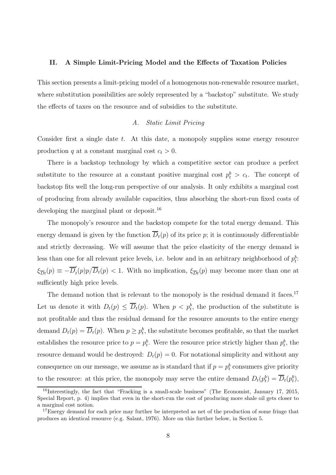#### II. A Simple Limit-Pricing Model and the Effects of Taxation Policies

This section presents a limit-pricing model of a homogenous non-renewable resource market, where substitution possibilities are solely represented by a "backstop" substitute. We study the effects of taxes on the resource and of subsidies to the substitute.

# A. Static Limit Pricing

Consider first a single date  $t$ . At this date, a monopoly supplies some energy resource production q at a constant marginal cost  $c_t > 0$ .

There is a backstop technology by which a competitive sector can produce a perfect substitute to the resource at a constant positive marginal cost  $p_t^b > c_t$ . The concept of backstop fits well the long-run perspective of our analysis. It only exhibits a marginal cost of producing from already available capacities, thus absorbing the short-run fixed costs of developing the marginal plant or deposit.<sup>16</sup>

The monopoly's resource and the backstop compete for the total energy demand. This energy demand is given by the function  $\overline{D}_t(p)$  of its price p; it is continuously differentiable and strictly decreasing. We will assume that the price elasticity of the energy demand is less than one for all relevant price levels, i.e. below and in an arbitrary neighborhood of  $p_t^b$ :  $\xi_{\overline{D}t}(p) \equiv -\overline{D}'_t$  $t<sub>t</sub>(p)p/D<sub>t</sub>(p) < 1$ . With no implication,  $\xi_{\overline{D}t}(p)$  may become more than one at sufficiently high price levels.

The demand notion that is relevant to the monopoly is the residual demand it faces.<sup>17</sup> Let us denote it with  $D_t(p) \leq \overline{D}_t(p)$ . When  $p < p_t^b$ , the production of the substitute is not profitable and thus the residual demand for the resource amounts to the entire energy demand  $D_t(p) = \overline{D}_t(p)$ . When  $p \geq p_t^b$ , the substitute becomes profitable, so that the market establishes the resource price to  $p = p_t^b$ . Were the resource price strictly higher than  $p_t^b$ , the resource demand would be destroyed:  $D_t(p) = 0$ . For notational simplicity and without any consequence on our message, we assume as is standard that if  $p = p_t^b$  consumers give priority to the resource: at this price, the monopoly may serve the entire demand  $D_t(p_t^b) = \overline{D}_t(p_t^b)$ ,

<sup>&</sup>lt;sup>16</sup>Interestingly, the fact that "Fracking is a small-scale business" (The Economist, January 17, 2015, Special Report, p. 4) implies that even in the short-run the cost of producing more shale oil gets closer to a marginal cost notion.

<sup>&</sup>lt;sup>17</sup>Energy demand for each price may further be interpreted as net of the production of some fringe that produces an identical resource (e.g. Salant, 1976). More on this further below, in Section 5.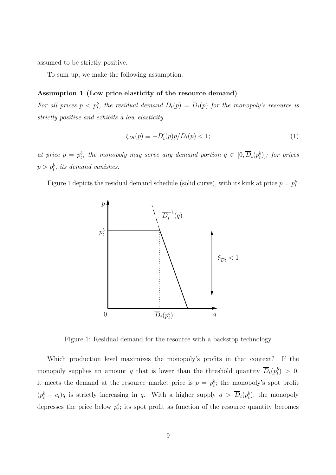assumed to be strictly positive.

To sum up, we make the following assumption.

#### Assumption 1 (Low price elasticity of the resource demand)

For all prices  $p < p_t^b$ , the residual demand  $D_t(p) = \overline{D}_t(p)$  for the monopoly's resource is strictly positive and exhibits a low elasticity

$$
\xi_{Dt}(p) \equiv -D_t'(p)p/D_t(p) < 1;\tag{1}
$$

at price  $p = p_t^b$ , the monopoly may serve any demand portion  $q \in [0, \overline{D}_t(p_t^b)]$ ; for prices  $p > p_t^b$ , its demand vanishes.

Figure 1 depicts the residual demand schedule (solid curve), with its kink at price  $p = p_t^b$ .



Figure 1: Residual demand for the resource with a backstop technology

Which production level maximizes the monopoly's profits in that context? If the monopoly supplies an amount q that is lower than the threshold quantity  $\overline{D}_t(p_t^b) > 0$ , it meets the demand at the resource market price is  $p = p_t^b$ ; the monopoly's spot profit  $(p_t^b - c_t)q$  is strictly increasing in q. With a higher supply  $q > \overline{D}_t(p_t^b)$ , the monopoly depresses the price below  $p_t^b$ ; its spot profit as function of the resource quantity becomes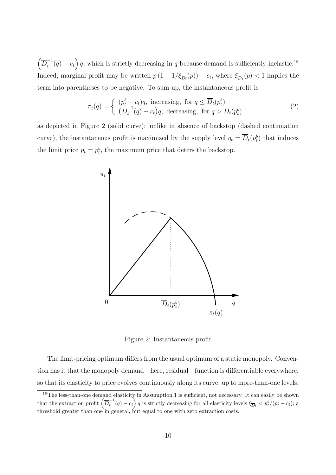$\left(\overline{D}_t^{-1}\right)$  $\left(\begin{matrix} -1 \ t \end{matrix}\right)q$ , which is strictly decreasing in q because demand is sufficiently inelastic.<sup>18</sup> Indeed, marginal profit may be written  $p(1 - 1/\xi_{\overline{D}t}(p)) - c_t$ , where  $\xi_{\overline{D}t}(p) < 1$  implies the term into parentheses to be negative. To sum up, the instantaneous profit is

$$
\pi_t(q) = \begin{cases} (p_t^b - c_t)q, & \text{increasing, for } q \le \overline{D}_t(p_t^b) \\ (\overline{D}_t^{-1}(q) - c_t)q, & \text{decreasing, for } q > \overline{D}_t(p_t^b) \end{cases} \tag{2}
$$

as depicted in Figure 2 (solid curve): unlike in absence of backstop (dashed continuation curve), the instantaneous profit is maximized by the supply level  $q_t = \overline{D}_t(p_t^b)$  that induces the limit price  $p_t = p_t^b$ , the maximum price that deters the backstop.



Figure 2: Instantaneous profit

The limit-pricing optimum differs from the usual optimum of a static monopoly. Convention has it that the monopoly demand – here, residual – function is differentiable everywhere, so that its elasticity to price evolves continuously along its curve, up to more-than-one levels.

<sup>&</sup>lt;sup>18</sup>The less-than-one demand elasticity in Assumption 1 is sufficient, not necessary. It can easily be shown that the extraction profit  $\left(\overline{D}_t^{-1}\right)$  $\frac{t^{-1}}{t}(q) - c_t$  q is strictly decreasing for all elasticity levels  $\xi_{\overline{Dt}} < p_t^b/(p_t^b - c_t)$ ; a threshold greater than one in general, but equal to one with zero extraction costs.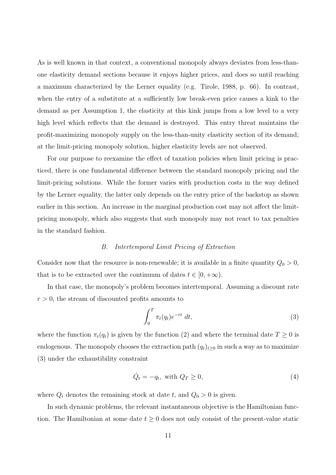As is well known in that context, a conventional monopoly always deviates from less-thanone elasticity demand sections because it enjoys higher prices, and does so until reaching a maximum characterized by the Lerner equality (e.g. Tirole, 1988, p. 66). In contrast, when the entry of a substitute at a sufficiently low break-even price causes a kink to the demand as per Assumption 1, the elasticity at this kink jumps from a low level to a very high level which reflects that the demand is destroyed. This entry threat maintains the profit-maximizing monopoly supply on the less-than-unity elasticity section of its demand; at the limit-pricing monopoly solution, higher elasticity levels are not observed.

For our purpose to reexamine the effect of taxation policies when limit pricing is practiced, there is one fundamental difference between the standard monopoly pricing and the limit-pricing solutions. While the former varies with production costs in the way defined by the Lerner equality, the latter only depends on the entry price of the backstop as shown earlier in this section. An increase in the marginal production cost may not affect the limitpricing monopoly, which also suggests that such monopoly may not react to tax penalties in the standard fashion.

# B. Intertemporal Limit Pricing of Extraction

Consider now that the resource is non-renewable; it is available in a finite quantity  $Q_0 > 0$ , that is to be extracted over the continuum of dates  $t \in [0, +\infty)$ .

In that case, the monopoly's problem becomes intertemporal. Assuming a discount rate  $r > 0$ , the stream of discounted profits amounts to

$$
\int_0^T \pi_t(q_t) e^{-rt} dt,
$$
\n(3)

where the function  $\pi_t(q_t)$  is given by the function (2) and where the terminal date  $T \geq 0$  is endogenous. The monopoly chooses the extraction path  $(q_t)_{t\geq0}$  in such a way as to maximize (3) under the exhaustibility constraint

$$
\dot{Q}_t = -q_t, \text{ with } Q_T \ge 0,
$$
\n<sup>(4)</sup>

where  $Q_t$  denotes the remaining stock at date t, and  $Q_0 > 0$  is given.

In such dynamic problems, the relevant instantaneous objective is the Hamiltonian function. The Hamiltonian at some date  $t \geq 0$  does not only consist of the present-value static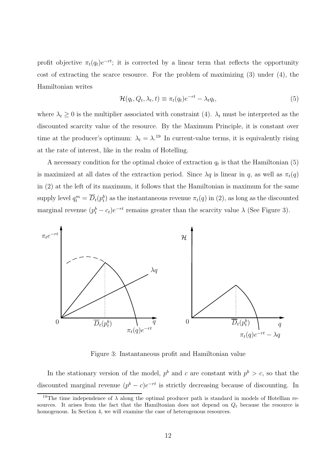profit objective  $\pi_t(q_t)e^{-rt}$ ; it is corrected by a linear term that reflects the opportunity cost of extracting the scarce resource. For the problem of maximizing (3) under (4), the Hamiltonian writes

$$
\mathcal{H}(q_t, Q_t, \lambda_t, t) \equiv \pi_t(q_t)e^{-rt} - \lambda_t q_t,\tag{5}
$$

where  $\lambda_t \geq 0$  is the multiplier associated with constraint (4).  $\lambda_t$  must be interpreted as the discounted scarcity value of the resource. By the Maximum Principle, it is constant over time at the producer's optimum:  $\lambda_t = \lambda$ <sup>19</sup> In current-value terms, it is equivalently rising at the rate of interest, like in the realm of Hotelling.

A necessary condition for the optimal choice of extraction  $q_t$  is that the Hamiltonian (5) is maximized at all dates of the extraction period. Since  $\lambda q$  is linear in q, as well as  $\pi_t(q)$ in (2) at the left of its maximum, it follows that the Hamiltonian is maximum for the same supply level  $q_t^m = \overline{D}_t(p_t^b)$  as the instantaneous revenue  $\pi_t(q)$  in (2), as long as the discounted marginal revenue  $(p_t^b - c_t)e^{-rt}$  remains greater than the scarcity value  $\lambda$  (See Figure 3).



Figure 3: Instantaneous profit and Hamiltonian value

In the stationary version of the model,  $p^{b}$  and c are constant with  $p^{b} > c$ , so that the discounted marginal revenue  $(p^b - c)e^{-rt}$  is strictly decreasing because of discounting. In

<sup>&</sup>lt;sup>19</sup>The time independence of  $\lambda$  along the optimal producer path is standard in models of Hotellian resources. It arises from the fact that the Hamiltonian does not depend on  $Q_t$  because the resource is homogenous. In Section 4, we will examine the case of heterogenous resources.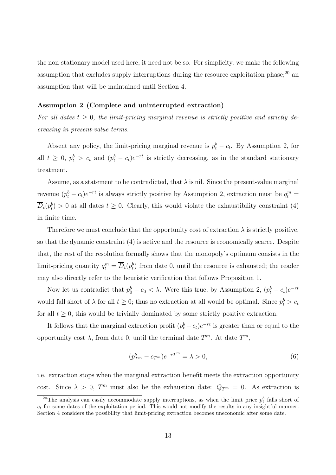the non-stationary model used here, it need not be so. For simplicity, we make the following assumption that excludes supply interruptions during the resource exploitation phase; $^{20}$  an assumption that will be maintained until Section 4.

#### Assumption 2 (Complete and uninterrupted extraction)

For all dates  $t \geq 0$ , the limit-pricing marginal revenue is strictly positive and strictly decreasing in present-value terms.

Absent any policy, the limit-pricing marginal revenue is  $p_t^b - c_t$ . By Assumption 2, for all  $t \geq 0$ ,  $p_t^b > c_t$  and  $(p_t^b - c_t)e^{-rt}$  is strictly decreasing, as in the standard stationary treatment.

Assume, as a statement to be contradicted, that  $\lambda$  is nil. Since the present-value marginal revenue  $(p_t^b - c_t)e^{-rt}$  is always strictly positive by Assumption 2, extraction must be  $q_t^m =$  $\overline{D}_t(p_t^b) > 0$  at all dates  $t \geq 0$ . Clearly, this would violate the exhaustibility constraint (4) in finite time.

Therefore we must conclude that the opportunity cost of extraction  $\lambda$  is strictly positive, so that the dynamic constraint (4) is active and the resource is economically scarce. Despite that, the rest of the resolution formally shows that the monopoly's optimum consists in the limit-pricing quantity  $q_t^m = \overline{D}_t(p_t^b)$  from date 0, until the resource is exhausted; the reader may also directly refer to the heuristic verification that follows Proposition 1.

Now let us contradict that  $p_0^b - c_0 < \lambda$ . Were this true, by Assumption 2,  $(p_t^b - c_t)e^{-rt}$ would fall short of  $\lambda$  for all  $t \geq 0$ ; thus no extraction at all would be optimal. Since  $p_t^b > c_t$ for all  $t \geq 0$ , this would be trivially dominated by some strictly positive extraction.

It follows that the marginal extraction profit  $(p_t^b - c_t)e^{-rt}$  is greater than or equal to the opportunity cost  $\lambda$ , from date 0, until the terminal date  $T^m$ . At date  $T^m$ ,

$$
(p_{T^m}^b - c_{T^m})e^{-rT^m} = \lambda > 0,
$$
\n
$$
(6)
$$

i.e. extraction stops when the marginal extraction benefit meets the extraction opportunity cost. Since  $\lambda > 0$ ,  $T^m$  must also be the exhaustion date:  $Q_{T^m} = 0$ . As extraction is

<sup>&</sup>lt;sup>20</sup>The analysis can easily accommodate supply interruptions, as when the limit price  $p_t^b$  falls short of  $c_t$  for some dates of the exploitation period. This would not modify the results in any insightful manner. Section 4 considers the possibility that limit-pricing extraction becomes uneconomic after some date.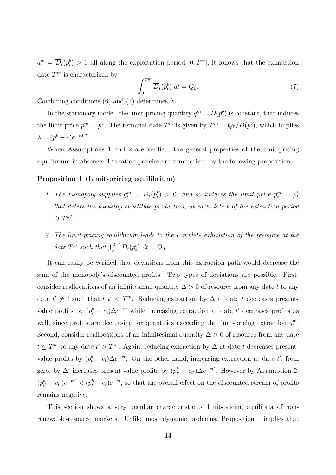$q_t^m = \overline{D}_t(p_t^b) > 0$  all along the exploitation period  $[0, T^m]$ , it follows that the exhaustion date  $T^m$  is characterized by

$$
\int_0^{T^m} \overline{D}_t(p_t^b) \ dt = Q_0. \tag{7}
$$

Combining conditions (6) and (7) determines  $\lambda$ .

In the stationary model, the limit-pricing quantity  $q^m = \overline{D}(p^b)$  is constant, that induces the limit price  $p^m = p^b$ . The terminal date  $T^m$  is given by  $T^m = Q_0/\overline{D}(p^b)$ , which implies  $\lambda = (p^b - c)e^{-rT^m}.$ 

When Assumptions 1 and 2 are verified, the general properties of the limit-pricing equilibrium in absence of taxation policies are summarized by the following proposition.

# Proposition 1 (Limit-pricing equilibrium)

- 1. The monopoly supplies  $q_t^m = \overline{D}_t(p_t^b) > 0$ , and so induces the limit price  $p_t^m = p_t^b$ that deters the backstop-substitute production, at each date t of the extraction period  $[0, T^m]$ ;
- 2. The limit-pricing equilibrium leads to the complete exhaustion of the resource at the date  $T^m$  such that  $\int_0^{T^m} \overline{D}_t(p_t^b) dt = Q_0$ .

It can easily be verified that deviations from this extraction path would decrease the sum of the monopoly's discounted profits. Two types of deviations are possible. First, consider reallocations of an infinitesimal quantity  $\Delta > 0$  of resource from any date t to any date  $t' \neq t$  such that  $t, t' < T^m$ . Reducing extraction by  $\Delta$  at date t decreases presentvalue profits by  $(p_t^b - c_t)\Delta e^{-rt}$  while increasing extraction at date t' decreases profits as well, since profits are decreasing for quantities exceeding the limit-pricing extraction  $q_t^m$ . Second, consider reallocations of an infinitesimal quantity  $\Delta > 0$  of resource from any date  $t \leq T^m$  to any date  $t' > T^m$ . Again, reducing extraction by  $\Delta$  at date t decreases presentvalue profits by  $(p_t^b - c_t)\Delta e^{-rt}$ . On the other hand, increasing extraction at date t', from zero, by  $\Delta$ , increases present-value profits by  $(p_{t'}^b - c_{t'})\Delta e^{-rt'}$ . However by Assumption 2,  $(p_{t'}^b - c_{t'})e^{-rt'} < (p_t^b - c_t)e^{-rt}$ , so that the overall effect on the discounted stream of profits remains negative.

This section shows a very peculiar characteristic of limit-pricing equilibria of nonrenewable-resource markets. Unlike most dynamic problems, Proposition 1 implies that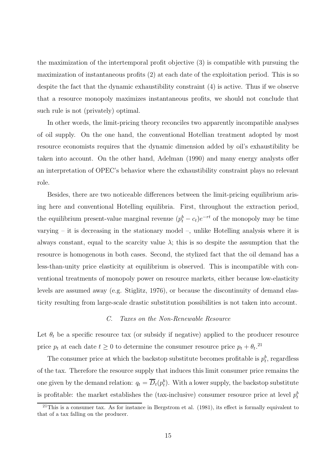the maximization of the intertemporal profit objective (3) is compatible with pursuing the maximization of instantaneous profits (2) at each date of the exploitation period. This is so despite the fact that the dynamic exhaustibility constraint (4) is active. Thus if we observe that a resource monopoly maximizes instantaneous profits, we should not conclude that such rule is not (privately) optimal.

In other words, the limit-pricing theory reconciles two apparently incompatible analyses of oil supply. On the one hand, the conventional Hotellian treatment adopted by most resource economists requires that the dynamic dimension added by oil's exhaustibility be taken into account. On the other hand, Adelman (1990) and many energy analysts offer an interpretation of OPEC's behavior where the exhaustibility constraint plays no relevant role.

Besides, there are two noticeable differences between the limit-pricing equilibrium arising here and conventional Hotelling equilibria. First, throughout the extraction period, the equilibrium present-value marginal revenue  $(p_t^b - c_t)e^{-rt}$  of the monopoly may be time varying – it is decreasing in the stationary model –, unlike Hotelling analysis where it is always constant, equal to the scarcity value  $\lambda$ ; this is so despite the assumption that the resource is homogenous in both cases. Second, the stylized fact that the oil demand has a less-than-unity price elasticity at equilibrium is observed. This is incompatible with conventional treatments of monopoly power on resource markets, either because low-elasticity levels are assumed away (e.g. Stiglitz, 1976), or because the discontinuity of demand elasticity resulting from large-scale drastic substitution possibilities is not taken into account.

#### C. Taxes on the Non-Renewable Resource

Let  $\theta_t$  be a specific resource tax (or subsidy if negative) applied to the producer resource price  $p_t$  at each date  $t \geq 0$  to determine the consumer resource price  $p_t + \theta_t$ <sup>21</sup>

The consumer price at which the backstop substitute becomes profitable is  $p_t^b$ , regardless of the tax. Therefore the resource supply that induces this limit consumer price remains the one given by the demand relation:  $q_t = \overline{D}_t(p_t^b)$ . With a lower supply, the backstop substitute is profitable: the market establishes the (tax-inclusive) consumer resource price at level  $p_t^b$ 

 $21$ This is a consumer tax. As for instance in Bergstrom et al. (1981), its effect is formally equivalent to that of a tax falling on the producer.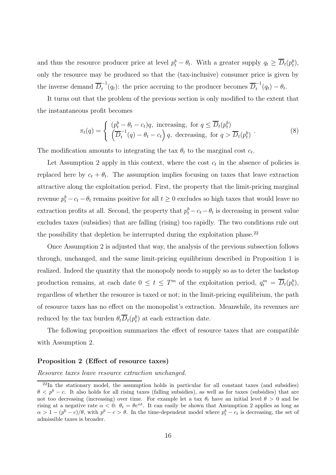and thus the resource producer price at level  $p_t^b - \theta_t$ . With a greater supply  $q_t \ge \overline{D}_t(p_t^b)$ , only the resource may be produced so that the (tax-inclusive) consumer price is given by the inverse demand  $\overline{D}_t^{-1}$  $\overline{U}_t^{-1}(q_t)$ : the price accruing to the producer becomes  $\overline{D}_t^{-1}$  $t^{-1}(q_t) - \theta_t.$ 

It turns out that the problem of the previous section is only modified to the extent that the instantaneous profit becomes

$$
\pi_t(q) = \begin{cases} (p_t^b - \theta_t - c_t)q, & \text{increasing, for } q \le \overline{D}_t(p_t^b) \\ \left(\overline{D}_t^{-1}(q) - \theta_t - c_t\right)q, & \text{decreasing, for } q > \overline{D}_t(p_t^b) \end{cases} \tag{8}
$$

The modification amounts to integrating the tax  $\theta_t$  to the marginal cost  $c_t$ .

Let Assumption 2 apply in this context, where the cost  $c_t$  in the absence of policies is replaced here by  $c_t + \theta_t$ . The assumption implies focusing on taxes that leave extraction attractive along the exploitation period. First, the property that the limit-pricing marginal revenue  $p_t^b - c_t - \theta_t$  remains positive for all  $t \geq 0$  excludes so high taxes that would leave no extraction profits at all. Second, the property that  $p_t^b - c_t - \theta_t$  is decreasing in present value excludes taxes (subsidies) that are falling (rising) too rapidly. The two conditions rule out the possibility that depletion be interrupted during the exploitation phase.<sup>22</sup>

Once Assumption 2 is adjusted that way, the analysis of the previous subsection follows through, unchanged, and the same limit-pricing equilibrium described in Proposition 1 is realized. Indeed the quantity that the monopoly needs to supply so as to deter the backstop production remains, at each date  $0 \le t \le T^m$  of the exploitation period,  $q_t^m = \overline{D}_t(p_t^b)$ , regardless of whether the resource is taxed or not; in the limit-pricing equilibrium, the path of resource taxes has no effect on the monopolist's extraction. Meanwhile, its revenues are reduced by the tax burden  $\theta_t \overline{D}_t(p_t^b)$  at each extraction date.

The following proposition summarizes the effect of resource taxes that are compatible with Assumption 2.

# Proposition 2 (Effect of resource taxes)

Resource taxes leave resource extraction unchanged.

 $22$ In the stationary model, the assumption holds in particular for all constant taxes (and subsidies)  $\theta < p^{b} - c$ . It also holds for all rising taxes (falling subsidies), as well as for taxes (subsidies) that are not too decreasing (increasing) over time. For example let a tax  $\theta_t$  have an initial level  $\theta > 0$  and be rising at a negative rate  $\alpha < 0$ :  $\theta_t = \theta e^{\alpha t}$ . It can easily be shown that Assumption 2 applies as long as  $\alpha > 1 - (p^b - c)/\theta$ , with  $p^b - c > \theta$ . In the time-dependent model where  $p_t^b - c_t$  is decreasing, the set of admissible taxes is broader.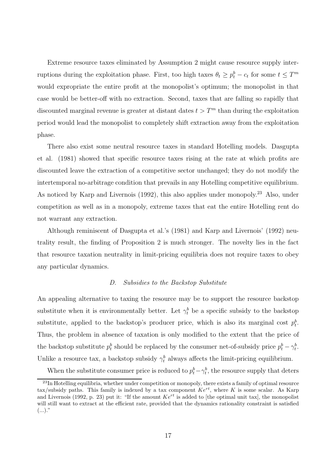Extreme resource taxes eliminated by Assumption 2 might cause resource supply interruptions during the exploitation phase. First, too high taxes  $\theta_t \ge p_t^b - c_t$  for some  $t \le T^m$ would expropriate the entire profit at the monopolist's optimum; the monopolist in that case would be better-off with no extraction. Second, taxes that are falling so rapidly that discounted marginal revenue is greater at distant dates  $t > T<sup>m</sup>$  than during the exploitation period would lead the monopolist to completely shift extraction away from the exploitation phase.

There also exist some neutral resource taxes in standard Hotelling models. Dasgupta et al. (1981) showed that specific resource taxes rising at the rate at which profits are discounted leave the extraction of a competitive sector unchanged; they do not modify the intertemporal no-arbitrage condition that prevails in any Hotelling competitive equilibrium. As noticed by Karp and Livernois (1992), this also applies under monopoly.<sup>23</sup> Also, under competition as well as in a monopoly, extreme taxes that eat the entire Hotelling rent do not warrant any extraction.

Although reminiscent of Dasgupta et al.'s (1981) and Karp and Livernois' (1992) neutrality result, the finding of Proposition 2 is much stronger. The novelty lies in the fact that resource taxation neutrality in limit-pricing equilibria does not require taxes to obey any particular dynamics.

# D. Subsidies to the Backstop Substitute

An appealing alternative to taxing the resource may be to support the resource backstop substitute when it is environmentally better. Let  $\gamma_t^b$  be a specific subsidy to the backstop substitute, applied to the backstop's producer price, which is also its marginal cost  $p_t^b$ . Thus, the problem in absence of taxation is only modified to the extent that the price of the backstop substitute  $p_t^b$  should be replaced by the consumer net-of-subsidy price  $p_t^b - \gamma_t^b$ . Unlike a resource tax, a backstop subsidy  $\gamma_t^b$  always affects the limit-pricing equilibrium.

When the substitute consumer price is reduced to  $p_t^b - \gamma_t^b$ , the resource supply that deters

 $^{23}$ In Hotelling equilibria, whether under competition or monopoly, there exists a family of optimal resource tax/subsidy paths. This family is indexed by a tax component  $Ke^{rt}$ , where K is some scalar. As Karp and Livernois (1992, p. 23) put it: "If the amount  $Ke^{rt}$  is added to [the optimal unit tax], the monopolist will still want to extract at the efficient rate, provided that the dynamics rationality constraint is satisfied  $(\ldots)$ ."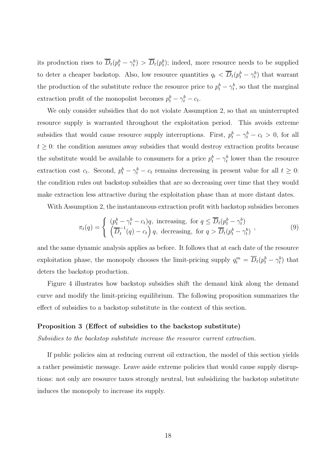its production rises to  $\overline{D}_t(p_t^b - \gamma_t^b) > \overline{D}_t(p_t^b)$ ; indeed, more resource needs to be supplied to deter a cheaper backstop. Also, low resource quantities  $q_t < \overline{D}_t(p_t^b - \gamma_t^b)$  that warrant the production of the substitute reduce the resource price to  $p_t^b - \gamma_t^b$ , so that the marginal extraction profit of the monopolist becomes  $p_t^b - \gamma_t^b - c_t$ .

We only consider subsidies that do not violate Assumption 2, so that an uninterrupted resource supply is warranted throughout the exploitation period. This avoids extreme subsidies that would cause resource supply interruptions. First,  $p_t^b - \gamma_t^b - c_t > 0$ , for all  $t \geq 0$ : the condition assumes away subsidies that would destroy extraction profits because the substitute would be available to consumers for a price  $p_t^b - \gamma_t^b$  lower than the resource extraction cost  $c_t$ . Second,  $p_t^b - \gamma_t^b - c_t$  remains decreasing in present value for all  $t \geq 0$ : the condition rules out backstop subsidies that are so decreasing over time that they would make extraction less attractive during the exploitation phase than at more distant dates.

With Assumption 2, the instantaneous extraction profit with backstop subsidies becomes

$$
\pi_t(q) = \begin{cases}\n\left(p_t^b - \gamma_t^b - c_t\right)q, & \text{increasing, for } q \le \overline{D}_t(p_t^b - \gamma_t^b) \\
\left(\overline{D}_t^{-1}(q) - c_t\right)q, & \text{decreasing, for } q > \overline{D}_t(p_t^b - \gamma_t^b)\n\end{cases} \tag{9}
$$

and the same dynamic analysis applies as before. It follows that at each date of the resource exploitation phase, the monopoly chooses the limit-pricing supply  $q_t^m = \overline{D}_t(p_t^b - \gamma_t^b)$  that deters the backstop production.

Figure 4 illustrates how backstop subsidies shift the demand kink along the demand curve and modify the limit-pricing equilibrium. The following proposition summarizes the effect of subsidies to a backstop substitute in the context of this section.

#### Proposition 3 (Effect of subsidies to the backstop substitute)

Subsidies to the backstop substitute increase the resource current extraction.

If public policies aim at reducing current oil extraction, the model of this section yields a rather pessimistic message. Leave aside extreme policies that would cause supply disruptions: not only are resource taxes strongly neutral, but subsidizing the backstop substitute induces the monopoly to increase its supply.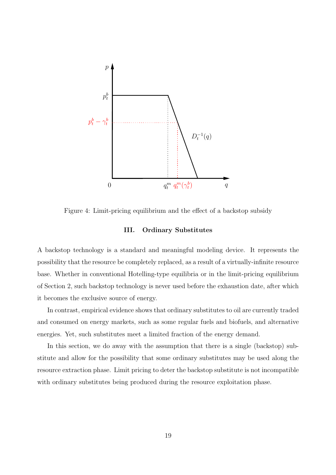

Figure 4: Limit-pricing equilibrium and the effect of a backstop subsidy

# III. Ordinary Substitutes

A backstop technology is a standard and meaningful modeling device. It represents the possibility that the resource be completely replaced, as a result of a virtually-infinite resource base. Whether in conventional Hotelling-type equilibria or in the limit-pricing equilibrium of Section 2, such backstop technology is never used before the exhaustion date, after which it becomes the exclusive source of energy.

In contrast, empirical evidence shows that ordinary substitutes to oil are currently traded and consumed on energy markets, such as some regular fuels and biofuels, and alternative energies. Yet, such substitutes meet a limited fraction of the energy demand.

In this section, we do away with the assumption that there is a single (backstop) substitute and allow for the possibility that some ordinary substitutes may be used along the resource extraction phase. Limit pricing to deter the backstop substitute is not incompatible with ordinary substitutes being produced during the resource exploitation phase.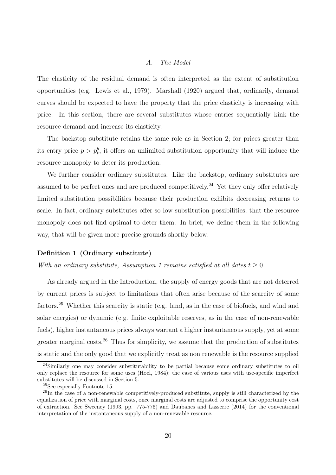#### A. The Model

The elasticity of the residual demand is often interpreted as the extent of substitution opportunities (e.g. Lewis et al., 1979). Marshall (1920) argued that, ordinarily, demand curves should be expected to have the property that the price elasticity is increasing with price. In this section, there are several substitutes whose entries sequentially kink the resource demand and increase its elasticity.

The backstop substitute retains the same role as in Section 2; for prices greater than its entry price  $p > p_t^b$ , it offers an unlimited substitution opportunity that will induce the resource monopoly to deter its production.

We further consider ordinary substitutes. Like the backstop, ordinary substitutes are assumed to be perfect ones and are produced competitively.<sup>24</sup> Yet they only offer relatively limited substitution possibilities because their production exhibits decreasing returns to scale. In fact, ordinary substitutes offer so low substitution possibilities, that the resource monopoly does not find optimal to deter them. In brief, we define them in the following way, that will be given more precise grounds shortly below.

#### Definition 1 (Ordinary substitute)

With an ordinary substitute, Assumption 1 remains satisfied at all dates  $t \geq 0$ .

As already argued in the Introduction, the supply of energy goods that are not deterred by current prices is subject to limitations that often arise because of the scarcity of some factors.<sup>25</sup> Whether this scarcity is static (e.g. land, as in the case of biofuels, and wind and solar energies) or dynamic (e.g. finite exploitable reserves, as in the case of non-renewable fuels), higher instantaneous prices always warrant a higher instantaneous supply, yet at some greater marginal costs.<sup>26</sup> Thus for simplicity, we assume that the production of substitutes is static and the only good that we explicitly treat as non renewable is the resource supplied

<sup>&</sup>lt;sup>24</sup>Similarly one may consider substitutability to be partial because some ordinary substitutes to oil only replace the resource for some uses (Hoel, 1984); the case of various uses with use-specific imperfect substitutes will be discussed in Section 5.

<sup>25</sup>See especially Footnote 15.

<sup>&</sup>lt;sup>26</sup>In the case of a non-renewable competitively-produced substitute, supply is still characterized by the equalization of price with marginal costs, once marginal costs are adjusted to comprise the opportunity cost of extraction. See Sweeney (1993, pp. 775-776) and Daubanes and Lasserre (2014) for the conventional interpretation of the instantaneous supply of a non-renewable resource.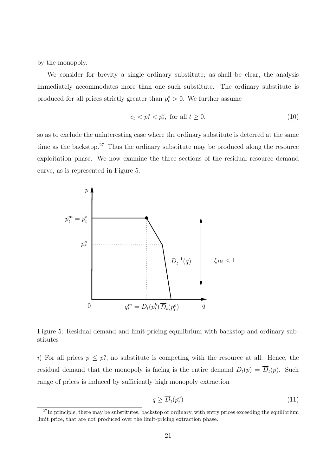by the monopoly.

We consider for brevity a single ordinary substitute; as shall be clear, the analysis immediately accommodates more than one such substitute. The ordinary substitute is produced for all prices strictly greater than  $p_t^o > 0$ . We further assume

$$
c_t < p_t^o < p_t^b, \text{ for all } t \ge 0,\tag{10}
$$

so as to exclude the uninteresting case where the ordinary substitute is deterred at the same time as the backstop.<sup>27</sup> Thus the ordinary substitute may be produced along the resource exploitation phase. We now examine the three sections of the residual resource demand curve, as is represented in Figure 5.



Figure 5: Residual demand and limit-pricing equilibrium with backstop and ordinary substitutes

i) For all prices  $p \leq p_t^o$ , no substitute is competing with the resource at all. Hence, the residual demand that the monopoly is facing is the entire demand  $D_t(p) = \overline{D}_t(p)$ . Such range of prices is induced by sufficiently high monopoly extraction

$$
q \ge \overline{D}_t(p_t^o) \tag{11}
$$

 $27$ In principle, there may be substitutes, backstop or ordinary, with entry prices exceeding the equilibrium limit price, that are not produced over the limit-pricing extraction phase.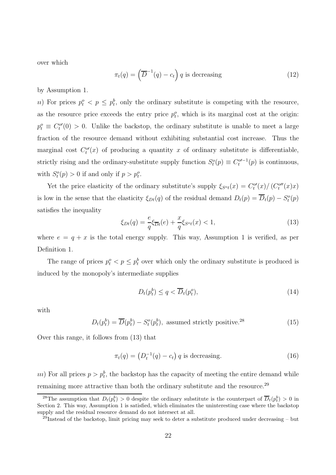over which

$$
\pi_t(q) = \left(\overline{D}^{-1}(q) - c_t\right) q \text{ is decreasing}
$$
\n(12)

by Assumption 1.

u) For prices  $p_t^o < p \leq p_t^b$ , only the ordinary substitute is competing with the resource, as the resource price exceeds the entry price  $p_t^o$ , which is its marginal cost at the origin:  $p_t^o \equiv C_t^{o'}(0) > 0$ . Unlike the backstop, the ordinary substitute is unable to meet a large fraction of the resource demand without exhibiting substantial cost increase. Thus the marginal cost  $C_t^{\circ\prime}(x)$  of producing a quantity x of ordinary substitute is differentiable, strictly rising and the ordinary-substitute supply function  $S_t^o(p) \equiv C_t^{o'}{}^{-1}(p)$  is continuous, with  $S_t^o(p) > 0$  if and only if  $p > p_t^o$ .

Yet the price elasticity of the ordinary substitute's supply  $\xi_{S'f}(x) = C_f^{\omega}(x) / (C_f^{\omega\prime}(x)x)$ is low in the sense that the elasticity  $\xi_{Dt}(q)$  of the residual demand  $D_t(p) = \overline{D}_t(p) - S_t^o(p)$ satisfies the inequality

$$
\xi_{Dt}(q) = \frac{e}{q} \xi_{\overline{Dt}}(e) + \frac{x}{q} \xi_{S^o t}(x) < 1,\tag{13}
$$

where  $e = q + x$  is the total energy supply. This way, Assumption 1 is verified, as per Definition 1.

The range of prices  $p_t^o < p \leq p_t^b$  over which only the ordinary substitute is produced is induced by the monopoly's intermediate supplies

$$
D_t(p_t^b) \le q < \overline{D}_t(p_t^o),\tag{14}
$$

with

 $D_t(p_t^b) = \overline{D}(p_t^b) - S_t^o(p_t^b)$ , assumed strictly positive.  $(15)$ 

Over this range, it follows from (13) that

$$
\pi_t(q) = \left(D_t^{-1}(q) - c_t\right) q
$$
 is decreasing. (16)

 $(u)$  For all prices  $p > p_t^b$ , the backstop has the capacity of meeting the entire demand while remaining more attractive than both the ordinary substitute and the resource.<sup>29</sup>

<sup>&</sup>lt;sup>28</sup>The assumption that  $D_t(p_t^b) > 0$  despite the ordinary substitute is the counterpart of  $\overline{D}_t(p_t^b) > 0$  in Section 2. This way, Assumption 1 is satisfied, which eliminates the uninteresting case where the backstop supply and the residual resource demand do not intersect at all.

 $^{29}$ Instead of the backstop, limit pricing may seek to deter a substitute produced under decreasing – but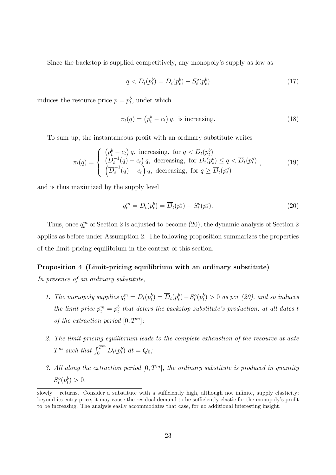Since the backstop is supplied competitively, any monopoly's supply as low as

$$
q < D_t(p_t^b) = \overline{D}_t(p_t^b) - S_t^o(p_t^b) \tag{17}
$$

induces the resource price  $p = p_t^b$ , under which

$$
\pi_t(q) = (p_t^b - c_t) q, \text{ is increasing.} \tag{18}
$$

To sum up, the instantaneous profit with an ordinary substitute writes

$$
\pi_t(q) = \begin{cases}\n\left(p_t^b - c_t\right) q, & \text{increasing, for } q < D_t(p_t^b) \\
\left(D_t^{-1}(q) - c_t\right) q, & \text{decreasing, for } D_t(p_t^b) \le q < \overline{D}_t(p_t^o) \\
\left(\overline{D}_t^{-1}(q) - c_t\right) q, & \text{decreasing, for } q \ge \overline{D}_t(p_t^o)\n\end{cases} \tag{19}
$$

and is thus maximized by the supply level

$$
q_t^m = D_t(p_t^b) = \overline{D}_t(p_t^b) - S_t^o(p_t^b). \tag{20}
$$

Thus, once  $q_t^m$  of Section 2 is adjusted to become (20), the dynamic analysis of Section 2 applies as before under Assumption 2. The following proposition summarizes the properties of the limit-pricing equilibrium in the context of this section.

# Proposition 4 (Limit-pricing equilibrium with an ordinary substitute)

In presence of an ordinary substitute,

- 1. The monopoly supplies  $q_t^m = D_t(p_t^b) = \overline{D}_t(p_t^b) S_t^o(p_t^b) > 0$  as per (20), and so induces the limit price  $p_t^m = p_t^b$  that deters the backstop substitute's production, at all dates t of the extraction period  $[0, T<sup>m</sup>]$ ;
- 2. The limit-pricing equilibrium leads to the complete exhaustion of the resource at date  $T^m$  such that  $\int_0^{T^m} D_t(p_t^b) dt = Q_0;$
- 3. All along the extraction period  $[0, T<sup>m</sup>]$ , the ordinary substitute is produced in quantity  $S_t^o(p_t^b) > 0.$

slowly – returns. Consider a substitute with a sufficiently high, although not infinite, supply elasticity; beyond its entry price, it may cause the residual demand to be sufficiently elastic for the monopoly's profit to be increasing. The analysis easily accommodates that case, for no additional interesting insight.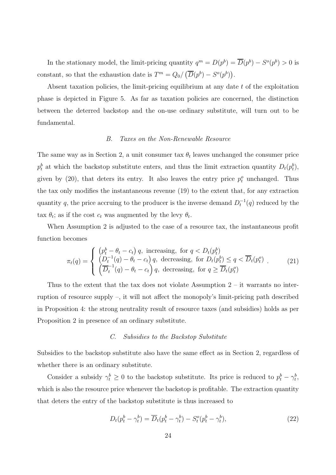In the stationary model, the limit-pricing quantity  $q^m = D(p^b) = \overline{D}(p^b) - S^o(p^b) > 0$  is constant, so that the exhaustion date is  $T^m = Q_0 / (\overline{D}(p^b) - S^o(p^b)).$ 

Absent taxation policies, the limit-pricing equilibrium at any date  $t$  of the exploitation phase is depicted in Figure 5. As far as taxation policies are concerned, the distinction between the deterred backstop and the on-use ordinary substitute, will turn out to be fundamental.

# B. Taxes on the Non-Renewable Resource

The same way as in Section 2, a unit consumer tax  $\theta_t$  leaves unchanged the consumer price  $p_t^b$  at which the backstop substitute enters, and thus the limit extraction quantity  $D_t(p_t^b)$ , given by (20), that deters its entry. It also leaves the entry price  $p_t^o$  unchanged. Thus the tax only modifies the instantaneous revenue (19) to the extent that, for any extraction quantity q, the price accruing to the producer is the inverse demand  $D_t^{-1}(q)$  reduced by the tax  $\theta_t$ ; as if the cost  $c_t$  was augmented by the levy  $\theta_t$ .

When Assumption 2 is adjusted to the case of a resource tax, the instantaneous profit function becomes

$$
\pi_t(q) = \begin{cases}\n\left(p_t^b - \theta_t - c_t\right) q, & \text{increasing, for } q < D_t(p_t^b) \\
\left(D_t^{-1}(q) - \theta_t - c_t\right) q, & \text{decreasing, for } D_t(p_t^b) \le q < \overline{D}_t(p_t^o) \\
\left(\overline{D}_t^{-1}(q) - \theta_t - c_t\right) q, & \text{decreasing, for } q \ge \overline{D}_t(p_t^o)\n\end{cases} \tag{21}
$$

Thus to the extent that the tax does not violate Assumption  $2 - it$  warrants no interruption of resource supply –, it will not affect the monopoly's limit-pricing path described in Proposition 4: the strong neutrality result of resource taxes (and subsidies) holds as per Proposition 2 in presence of an ordinary substitute.

# C. Subsidies to the Backstop Substitute

Subsidies to the backstop substitute also have the same effect as in Section 2, regardless of whether there is an ordinary substitute.

Consider a subsidy  $\gamma_t^b \geq 0$  to the backstop substitute. Its price is reduced to  $p_t^b - \gamma_t^b$ , which is also the resource price whenever the backstop is profitable. The extraction quantity that deters the entry of the backstop substitute is thus increased to

$$
D_t(p_t^b - \gamma_t^b) = \overline{D}_t(p_t^b - \gamma_t^b) - S_t^o(p_t^b - \gamma_t^b), \qquad (22)
$$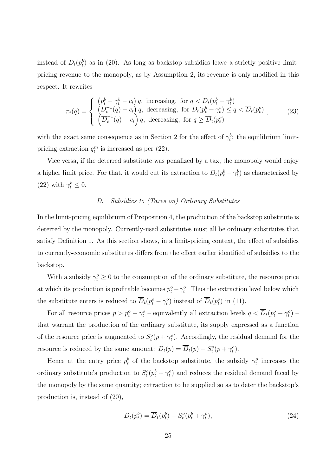instead of  $D_t(p_t^b)$  as in (20). As long as backstop subsidies leave a strictly positive limitpricing revenue to the monopoly, as by Assumption 2, its revenue is only modified in this respect. It rewrites

$$
\pi_t(q) = \begin{cases}\n\left(p_t^b - \gamma_t^b - c_t\right) q, & \text{increasing, for } q < D_t(p_t^b - \gamma_t^b) \\
\left(D_t^{-1}(q) - c_t\right) q, & \text{decreasing, for } D_t(p_t^b - \gamma_t^b) \le q < \overline{D}_t(p_t^o) \\
\left(\overline{D}_t^{-1}(q) - c_t\right) q, & \text{decreasing, for } q \ge \overline{D}_t(p_t^o)\n\end{cases}\n\tag{23}
$$

with the exact same consequence as in Section 2 for the effect of  $\gamma_t^b$ : the equilibrium limitpricing extraction  $q_t^m$  is increased as per (22).

Vice versa, if the deterred substitute was penalized by a tax, the monopoly would enjoy a higher limit price. For that, it would cut its extraction to  $D_t(p_t^b - \gamma_t^b)$  as characterized by (22) with  $\gamma_t^b \leq 0$ .

# D. Subsidies to (Taxes on) Ordinary Substitutes

In the limit-pricing equilibrium of Proposition 4, the production of the backstop substitute is deterred by the monopoly. Currently-used substitutes must all be ordinary substitutes that satisfy Definition 1. As this section shows, in a limit-pricing context, the effect of subsidies to currently-economic substitutes differs from the effect earlier identified of subsidies to the backstop.

With a subsidy  $\gamma_t^o \geq 0$  to the consumption of the ordinary substitute, the resource price at which its production is profitable becomes  $p_t^o - \gamma_t^o$ . Thus the extraction level below which the substitute enters is reduced to  $\overline{D}_t(p_t^o - \gamma_t^o)$  instead of  $\overline{D}_t(p_t^o)$  in (11).

For all resource prices  $p > p_t^o - \gamma_t^o$  – equivalently all extraction levels  $q < \overline{D}_t(p_t^o - \gamma_t^o)$  – that warrant the production of the ordinary substitute, its supply expressed as a function of the resource price is augmented to  $S_t^o(p + \gamma_t^o)$ . Accordingly, the residual demand for the resource is reduced by the same amount:  $D_t(p) = \overline{D}_t(p) - S_t^o(p + \gamma_t^o)$ .

Hence at the entry price  $p_t^b$  of the backstop substitute, the subsidy  $\gamma_t^o$  increases the ordinary substitute's production to  $S_t^o(p_t^b + \gamma_t^o)$  and reduces the residual demand faced by the monopoly by the same quantity; extraction to be supplied so as to deter the backstop's production is, instead of (20),

$$
D_t(p_t^b) = \overline{D}_t(p_t^b) - S_t^o(p_t^b + \gamma_t^o),\tag{24}
$$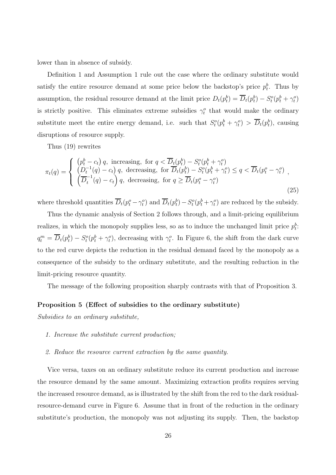lower than in absence of subsidy.

Definition 1 and Assumption 1 rule out the case where the ordinary substitute would satisfy the entire resource demand at some price below the backstop's price  $p_t^b$ . Thus by assumption, the residual resource demand at the limit price  $D_t(p_t^b) = \overline{D}_t(p_t^b) - S_t^o(p_t^b + \gamma_t^o)$ is strictly positive. This eliminates extreme subsidies  $\gamma_t^o$  that would make the ordinary substitute meet the entire energy demand, i.e. such that  $S_t^o(p_t^b + \gamma_t^o) > \overline{D}_t(p_t^b)$ , causing disruptions of resource supply.

Thus (19) rewrites

$$
\pi_t(q) = \begin{cases}\n\left(p_t^b - c_t\right) q, & \text{increasing, for } q < \overline{D}_t(p_t^b) - S_t^o(p_t^b + \gamma_t^o) \\
\left(D_t^{-1}(q) - c_t\right) q, & \text{decreasing, for } \overline{D}_t(p_t^b) - S_t^o(p_t^b + \gamma_t^o) \le q < \overline{D}_t(p_t^o - \gamma_t^o) \\
\left(\overline{D}_t^{-1}(q) - c_t\right) q, & \text{decreasing, for } q \ge \overline{D}_t(p_t^o - \gamma_t^o)\n\end{cases}
$$
\n
$$
(25)
$$

where threshold quantities  $\overline{D}_t(p_t^o - \gamma_t^o)$  and  $\overline{D}_t(p_t^b) - S_t^o(p_t^b + \gamma_t^o)$  are reduced by the subsidy.

Thus the dynamic analysis of Section 2 follows through, and a limit-pricing equilibrium realizes, in which the monopoly supplies less, so as to induce the unchanged limit price  $p_t^b$ :  $q_t^m = \overline{D}_t(p_t^b) - S_t^o(p_t^b + \gamma_t^o)$ , decreasing with  $\gamma_t^o$ . In Figure 6, the shift from the dark curve to the red curve depicts the reduction in the residual demand faced by the monopoly as a consequence of the subsidy to the ordinary substitute, and the resulting reduction in the limit-pricing resource quantity.

The message of the following proposition sharply contrasts with that of Proposition 3.

#### Proposition 5 (Effect of subsidies to the ordinary substitute)

Subsidies to an ordinary substitute,

- 1. Increase the substitute current production;
- 2. Reduce the resource current extraction by the same quantity.

Vice versa, taxes on an ordinary substitute reduce its current production and increase the resource demand by the same amount. Maximizing extraction profits requires serving the increased resource demand, as is illustrated by the shift from the red to the dark residualresource-demand curve in Figure 6. Assume that in front of the reduction in the ordinary substitute's production, the monopoly was not adjusting its supply. Then, the backstop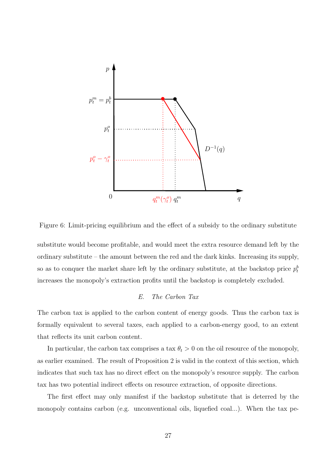

Figure 6: Limit-pricing equilibrium and the effect of a subsidy to the ordinary substitute

substitute would become profitable, and would meet the extra resource demand left by the ordinary substitute – the amount between the red and the dark kinks. Increasing its supply, so as to conquer the market share left by the ordinary substitute, at the backstop price  $p_t^b$ increases the monopoly's extraction profits until the backstop is completely excluded.

# E. The Carbon Tax

The carbon tax is applied to the carbon content of energy goods. Thus the carbon tax is formally equivalent to several taxes, each applied to a carbon-energy good, to an extent that reflects its unit carbon content.

In particular, the carbon tax comprises a tax  $\theta_t > 0$  on the oil resource of the monopoly, as earlier examined. The result of Proposition 2 is valid in the context of this section, which indicates that such tax has no direct effect on the monopoly's resource supply. The carbon tax has two potential indirect effects on resource extraction, of opposite directions.

The first effect may only manifest if the backstop substitute that is deterred by the monopoly contains carbon (e.g. unconventional oils, liquefied coal...). When the tax pe-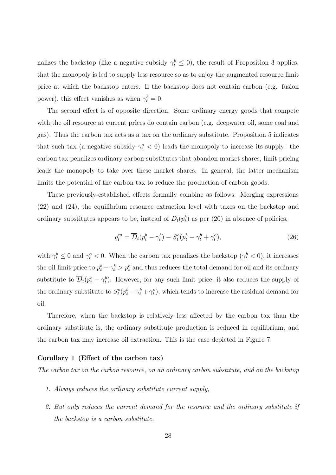nalizes the backstop (like a negative subsidy  $\gamma_t^b \leq 0$ ), the result of Proposition 3 applies, that the monopoly is led to supply less resource so as to enjoy the augmented resource limit price at which the backstop enters. If the backstop does not contain carbon (e.g. fusion power), this effect vanishes as when  $\gamma_t^b = 0$ .

The second effect is of opposite direction. Some ordinary energy goods that compete with the oil resource at current prices do contain carbon (e.g. deepwater oil, some coal and gas). Thus the carbon tax acts as a tax on the ordinary substitute. Proposition 5 indicates that such tax (a negative subsidy  $\gamma_t^o < 0$ ) leads the monopoly to increase its supply: the carbon tax penalizes ordinary carbon substitutes that abandon market shares; limit pricing leads the monopoly to take over these market shares. In general, the latter mechanism limits the potential of the carbon tax to reduce the production of carbon goods.

These previously-established effects formally combine as follows. Merging expressions (22) and (24), the equilibrium resource extraction level with taxes on the backstop and ordinary substitutes appears to be, instead of  $D_t(p_t^b)$  as per (20) in absence of policies,

$$
q_t^m = \overline{D}_t(p_t^b - \gamma_t^b) - S_t^o(p_t^b - \gamma_t^b + \gamma_t^o), \tag{26}
$$

with  $\gamma_t^b \leq 0$  and  $\gamma_t^o < 0$ . When the carbon tax penalizes the backstop  $(\gamma_t^b < 0)$ , it increases the oil limit-price to  $p_t^b - \gamma_t^b > p_t^b$  and thus reduces the total demand for oil and its ordinary substitute to  $\overline{D}_t(p_t^b - \gamma_t^b)$ . However, for any such limit price, it also reduces the supply of the ordinary substitute to  $S_t^o(p_t^b - \gamma_t^b + \gamma_t^o)$ , which tends to increase the residual demand for oil.

Therefore, when the backstop is relatively less affected by the carbon tax than the ordinary substitute is, the ordinary substitute production is reduced in equilibrium, and the carbon tax may increase oil extraction. This is the case depicted in Figure 7.

#### Corollary 1 (Effect of the carbon tax)

The carbon tax on the carbon resource, on an ordinary carbon substitute, and on the backstop

- 1. Always reduces the ordinary substitute current supply,
- 2. But only reduces the current demand for the resource and the ordinary substitute if the backstop is a carbon substitute.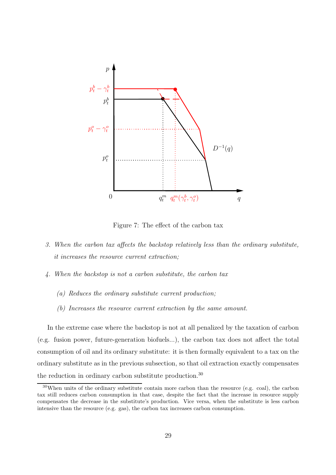

Figure 7: The effect of the carbon tax

- 3. When the carbon tax affects the backstop relatively less than the ordinary substitute, it increases the resource current extraction;
- 4. When the backstop is not a carbon substitute, the carbon tax
	- (a) Reduces the ordinary substitute current production;
	- (b) Increases the resource current extraction by the same amount.

In the extreme case where the backstop is not at all penalized by the taxation of carbon (e.g. fusion power, future-generation biofuels...), the carbon tax does not affect the total consumption of oil and its ordinary substitute: it is then formally equivalent to a tax on the ordinary substitute as in the previous subsection, so that oil extraction exactly compensates the reduction in ordinary carbon substitute production.<sup>30</sup>

<sup>30</sup>When units of the ordinary substitute contain more carbon than the resource (e.g. coal), the carbon tax still reduces carbon consumption in that case, despite the fact that the increase in resource supply compensates the decrease in the substitute's production. Vice versa, when the substitute is less carbon intensive than the resource (e.g. gas), the carbon tax increases carbon consumption.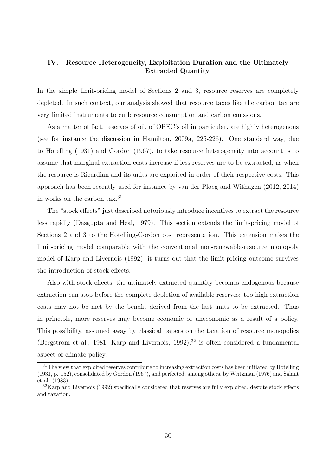# IV. Resource Heterogeneity, Exploitation Duration and the Ultimately Extracted Quantity

In the simple limit-pricing model of Sections 2 and 3, resource reserves are completely depleted. In such context, our analysis showed that resource taxes like the carbon tax are very limited instruments to curb resource consumption and carbon emissions.

As a matter of fact, reserves of oil, of OPEC's oil in particular, are highly heterogenous (see for instance the discussion in Hamilton, 2009a, 225-226). One standard way, due to Hotelling (1931) and Gordon (1967), to take resource heterogeneity into account is to assume that marginal extraction costs increase if less reserves are to be extracted, as when the resource is Ricardian and its units are exploited in order of their respective costs. This approach has been recently used for instance by van der Ploeg and Withagen (2012, 2014) in works on the carbon tax.<sup>31</sup>

The "stock effects" just described notoriously introduce incentives to extract the resource less rapidly (Dasgupta and Heal, 1979). This section extends the limit-pricing model of Sections 2 and 3 to the Hotelling-Gordon cost representation. This extension makes the limit-pricing model comparable with the conventional non-renewable-resource monopoly model of Karp and Livernois (1992); it turns out that the limit-pricing outcome survives the introduction of stock effects.

Also with stock effects, the ultimately extracted quantity becomes endogenous because extraction can stop before the complete depletion of available reserves: too high extraction costs may not be met by the benefit derived from the last units to be extracted. Thus in principle, more reserves may become economic or uneconomic as a result of a policy. This possibility, assumed away by classical papers on the taxation of resource monopolies (Bergstrom et al., 1981; Karp and Livernois, 1992),  $32$  is often considered a fundamental aspect of climate policy.

<sup>&</sup>lt;sup>31</sup>The view that exploited reserves contribute to increasing extraction costs has been initiated by Hotelling (1931, p. 152), consolidated by Gordon (1967), and perfected, among others, by Weitzman (1976) and Salant et al. (1983).

<sup>32</sup>Karp and Livernois (1992) specifically considered that reserves are fully exploited, despite stock effects and taxation.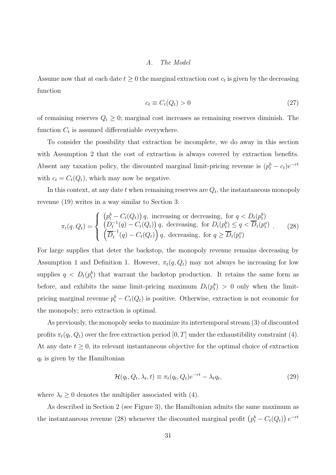#### A. The Model

Assume now that at each date  $t \geq 0$  the marginal extraction cost  $c_t$  is given by the decreasing function

$$
c_t \equiv C_t(Q_t) > 0\tag{27}
$$

of remaining reserves  $Q_t \geq 0$ ; marginal cost increases as remaining reserves diminish. The function  $C_t$  is assumed differentiable everywhere.

To consider the possibility that extraction be incomplete, we do away in this section with Assumption 2 that the cost of extraction is always covered by extraction benefits. Absent any taxation policy, the discounted marginal limit-pricing revenue is  $(p_t^b - c_t)e^{-rt}$ with  $c_t = C_t(Q_t)$ , which may now be negative.

In this context, at any date  $t$  when remaining reserves are  $Q_t$ , the instantaneous monopoly revenue (19) writes in a way similar to Section 3:

$$
\pi_t(q, Q_t) = \begin{cases}\n\left(p_t^b - C_t(Q_t)\right) q, & \text{increasing or decreasing, for } q < D_t(p_t^b) \\
\left(D_t^{-1}(q) - C_t(Q_t)\right) q, & \text{decreasing, for } D_t(p_t^b) \le q < \overline{D}_t(p_t^o) \\
\left(\overline{D}_t^{-1}(q) - C_t(Q_t)\right) q, & \text{decreasing, for } q \ge \overline{D}_t(p_t^o)\n\end{cases} \tag{28}
$$

For large supplies that deter the backstop, the monopoly revenue remains decreasing by Assumption 1 and Definition 1. However,  $\pi_t(q, Q_t)$  may not always be increasing for low supplies  $q \langle D_t(p_t^b) \rangle$  that warrant the backstop production. It retains the same form as before, and exhibits the same limit-pricing maximum  $D_t(p_t^b) > 0$  only when the limitpricing marginal revenue  $p_t^b - C_t(Q_t)$  is positive. Otherwise, extraction is not economic for the monopoly; zero extraction is optimal.

As previously, the monopoly seeks to maximize its intertemporal stream (3) of discounted profits  $\pi_t(q_t, Q_t)$  over the free extraction period  $[0, T]$  under the exhaustibility constraint (4). At any date  $t \geq 0$ , its relevant instantaneous objective for the optimal choice of extraction  $q_t$  is given by the Hamiltonian

$$
\mathcal{H}(q_t, Q_t, \lambda_t, t) \equiv \pi_t(q_t, Q_t)e^{-rt} - \lambda_t q_t,\tag{29}
$$

where  $\lambda_t \geq 0$  denotes the multiplier associated with (4).

As described in Section 2 (see Figure 3), the Hamiltonian admits the same maximum as the instantaneous revenue (28) whenever the discounted marginal profit  $(p_t^b - C_t(Q_t)) e^{-rt}$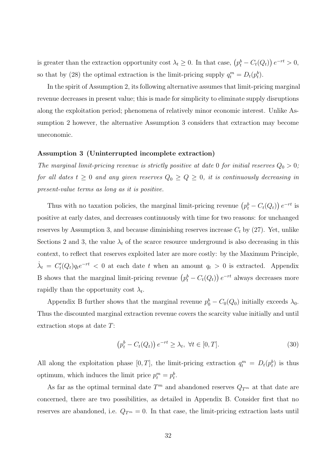is greater than the extraction opportunity cost  $\lambda_t \geq 0$ . In that case,  $(p_t^b - C_t(Q_t)) e^{-rt} > 0$ , so that by (28) the optimal extraction is the limit-pricing supply  $q_t^m = D_t(p_t^b)$ .

In the spirit of Assumption 2, its following alternative assumes that limit-pricing marginal revenue decreases in present value; this is made for simplicity to eliminate supply disruptions along the exploitation period; phenomena of relatively minor economic interest. Unlike Assumption 2 however, the alternative Assumption 3 considers that extraction may become uneconomic.

#### Assumption 3 (Uninterrupted incomplete extraction)

The marginal limit-pricing revenue is strictly positive at date 0 for initial reserves  $Q_0 > 0$ ; for all dates  $t \geq 0$  and any given reserves  $Q_0 \geq Q \geq 0$ , it is continuously decreasing in present-value terms as long as it is positive.

Thus with no taxation policies, the marginal limit-pricing revenue  $(p_t^b - C_t(Q_t)) e^{-rt}$  is positive at early dates, and decreases continuously with time for two reasons: for unchanged reserves by Assumption 3, and because diminishing reserves increase  $C_t$  by (27). Yet, unlike Sections 2 and 3, the value  $\lambda_t$  of the scarce resource underground is also decreasing in this context, to reflect that reserves exploited later are more costly: by the Maximum Principle,  $\dot{\lambda}_t = C'_t(Q_t)q_t e^{-rt} < 0$  at each date t when an amount  $q_t > 0$  is extracted. Appendix B shows that the marginal limit-pricing revenue  $(p_t^b - C_t(Q_t)) e^{-rt}$  always decreases more rapidly than the opportunity cost  $\lambda_t$ .

Appendix B further shows that the marginal revenue  $p_0^b - C_0(Q_0)$  initially exceeds  $\lambda_0$ . Thus the discounted marginal extraction revenue covers the scarcity value initially and until extraction stops at date T:

$$
\left(p_t^b - C_t(Q_t)\right)e^{-rt} \ge \lambda_t, \ \forall t \in [0, T].\tag{30}
$$

All along the exploitation phase  $[0, T]$ , the limit-pricing extraction  $q_t^m = D_t(p_t^b)$  is thus optimum, which induces the limit price  $p_t^m = p_t^b$ .

As far as the optimal terminal date  $T<sup>m</sup>$  and abandoned reserves  $Q_{T<sup>m</sup>}$  at that date are concerned, there are two possibilities, as detailed in Appendix B. Consider first that no reserves are abandoned, i.e.  $Q_{T^m} = 0$ . In that case, the limit-pricing extraction lasts until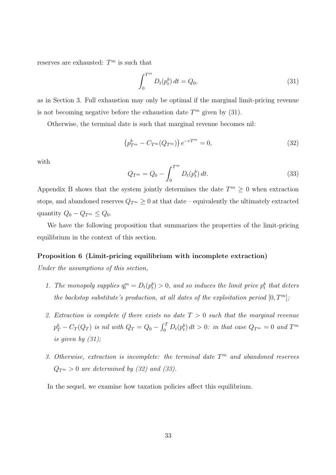reserves are exhausted:  $T^m$  is such that

$$
\int_0^{T^m} D_t(p_t^b) \, dt = Q_0,\tag{31}
$$

as in Section 3. Full exhaustion may only be optimal if the marginal limit-pricing revenue is not becoming negative before the exhaustion date  $T<sup>m</sup>$  given by (31).

Otherwise, the terminal date is such that marginal revenue becomes nil:

$$
\left(p_{T^m}^b - C_{T^m}(Q_{T^m})\right)e^{-rT^m} = 0,
$$
\n(32)

with

$$
Q_{T^m} = Q_0 - \int_0^{T^m} D_t(p_t^b) dt.
$$
 (33)

Appendix B shows that the system jointly determines the date  $T^m \geq 0$  when extraction stops, and abandoned reserves  $Q_{T^m} \geq 0$  at that date – equivalently the ultimately extracted quantity  $Q_0 - Q_{T^m} \leq Q_0$ .

We have the following proposition that summarizes the properties of the limit-pricing equilibrium in the context of this section.

#### Proposition 6 (Limit-pricing equilibrium with incomplete extraction)

Under the assumptions of this section,

- 1. The monopoly supplies  $q_t^m = D_t(p_t^b) > 0$ , and so induces the limit price  $p_t^b$  that deters the backstop substitute's production, at all dates of the exploitation period  $[0, T<sup>m</sup>]$ ;
- 2. Extraction is complete if there exists no date  $T > 0$  such that the marginal revenue  $p_T^b - C_T(Q_T)$  is nil with  $Q_T = Q_0 - \int_0^T D_t(p_t^b) dt > 0$ : in that case  $Q_{T^m} = 0$  and  $T^m$ is given by  $(31)$ ;
- 3. Otherwise, extraction is incomplete: the terminal date  $T<sup>m</sup>$  and abandoned reserves  $Q_{T^m} > 0$  are determined by (32) and (33).

In the sequel, we examine how taxation policies affect this equilibrium.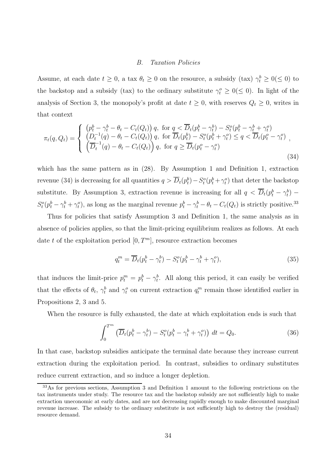#### B. Taxation Policies

Assume, at each date  $t \geq 0$ , a tax  $\theta_t \geq 0$  on the resource, a subsidy (tax)  $\gamma_t^b \geq 0 (\leq 0)$  to the backstop and a subsidy (tax) to the ordinary substitute  $\gamma_t^o \geq 0 (\leq 0)$ . In light of the analysis of Section 3, the monopoly's profit at date  $t \geq 0$ , with reserves  $Q_t \geq 0$ , writes in that context

$$
\pi_t(q, Q_t) = \begin{cases}\n\left(p_t^b - \gamma_t^b - \theta_t - C_t(Q_t)\right) q, & \text{for } q < \overline{D}_t(p_t^b - \gamma_t^b) - S_t^o(p_t^b - \gamma_t^b + \gamma_t^o) \\
\left(D_t^{-1}(q) - \theta_t - C_t(Q_t)\right) q, & \text{for } \overline{D}_t(p_t^b) - S_t^o(p_t^b + \gamma_t^o) \le q < \overline{D}_t(p_t^o - \gamma_t^o) \\
\left(\overline{D}_t^{-1}(q) - \theta_t - C_t(Q_t)\right) q, & \text{for } q \ge \overline{D}_t(p_t^o - \gamma_t^o)\n\end{cases}
$$
\n(34)

which has the same pattern as in (28). By Assumption 1 and Definition 1, extraction revenue (34) is decreasing for all quantities  $q > \overline{D}_t(p_t^b) - S_t^o(p_t^b + \gamma_t^o)$  that deter the backstop substitute. By Assumption 3, extraction revenue is increasing for all  $q < \overline{D}_t(p_t^b - \gamma_t^b)$  $S_t^o(p_t^b - \gamma_t^b + \gamma_t^o)$ , as long as the marginal revenue  $p_t^b - \gamma_t^b - \theta_t - C_t(Q_t)$  is strictly positive.<sup>33</sup>

Thus for policies that satisfy Assumption 3 and Definition 1, the same analysis as in absence of policies applies, so that the limit-pricing equilibrium realizes as follows. At each date t of the exploitation period  $[0, T<sup>m</sup>]$ , resource extraction becomes

$$
q_t^m = \overline{D}_t(p_t^b - \gamma_t^b) - S_t^o(p_t^b - \gamma_t^b + \gamma_t^o), \tag{35}
$$

that induces the limit-price  $p_t^m = p_t^b - \gamma_t^b$ . All along this period, it can easily be verified that the effects of  $\theta_t$ ,  $\gamma_t^b$  and  $\gamma_t^o$  on current extraction  $q_t^m$  remain those identified earlier in Propositions 2, 3 and 5.

When the resource is fully exhausted, the date at which exploitation ends is such that

$$
\int_0^{T^m} \left( \overline{D}_t (p_t^b - \gamma_t^b) - S_t^o (p_t^b - \gamma_t^b + \gamma_t^o) \right) dt = Q_0.
$$
 (36)

In that case, backstop subsidies anticipate the terminal date because they increase current extraction during the exploitation period. In contrast, subsidies to ordinary substitutes reduce current extraction, and so induce a longer depletion.

<sup>33</sup>As for previous sections, Assumption 3 and Definition 1 amount to the following restrictions on the tax instruments under study. The resource tax and the backstop subsidy are not sufficiently high to make extraction uneconomic at early dates, and are not decreasing rapidly enough to make discounted marginal revenue increase. The subsidy to the ordinary substitute is not sufficiently high to destroy the (residual) resource demand.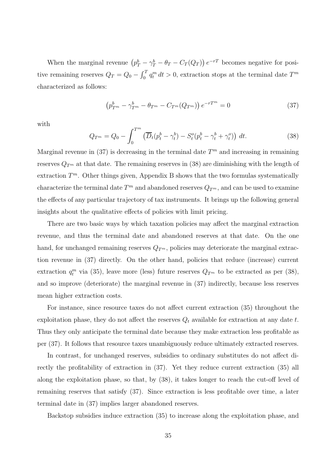When the marginal revenue  $(p_T^b - \gamma_T^b - \theta_T - C_T(Q_T)) e^{-rT}$  becomes negative for positive remaining reserves  $Q_T = Q_0 - \int_0^T q_t^m dt > 0$ , extraction stops at the terminal date  $T^m$ characterized as follows:

$$
\left(p_{T^m}^b - \gamma_{T^m}^b - \theta_{T^m} - C_{T^m}(Q_{T^m})\right)e^{-rT^m} = 0
$$
\n(37)

with

$$
Q_{T^m} = Q_0 - \int_0^{T^m} \left( \overline{D}_t (p_t^b - \gamma_t^b) - S_t^o (p_t^b - \gamma_t^b + \gamma_t^o) \right) dt.
$$
 (38)

Marginal revenue in  $(37)$  is decreasing in the terminal date  $T<sup>m</sup>$  and increasing in remaining reserves  $Q_{T<sup>m</sup>}$  at that date. The remaining reserves in (38) are diminishing with the length of extraction  $T^m$ . Other things given, Appendix B shows that the two formulas systematically characterize the terminal date  $T^m$  and abandoned reserves  $Q_{T^m}$ , and can be used to examine the effects of any particular trajectory of tax instruments. It brings up the following general insights about the qualitative effects of policies with limit pricing.

There are two basic ways by which taxation policies may affect the marginal extraction revenue, and thus the terminal date and abandoned reserves at that date. On the one hand, for unchanged remaining reserves  $Q_{T^m}$ , policies may deteriorate the marginal extraction revenue in (37) directly. On the other hand, policies that reduce (increase) current extraction  $q_t^m$  via (35), leave more (less) future reserves  $Q_{T^m}$  to be extracted as per (38), and so improve (deteriorate) the marginal revenue in (37) indirectly, because less reserves mean higher extraction costs.

For instance, since resource taxes do not affect current extraction (35) throughout the exploitation phase, they do not affect the reserves  $Q_t$  available for extraction at any date t. Thus they only anticipate the terminal date because they make extraction less profitable as per (37). It follows that resource taxes unambiguously reduce ultimately extracted reserves.

In contrast, for unchanged reserves, subsidies to ordinary substitutes do not affect directly the profitability of extraction in (37). Yet they reduce current extraction (35) all along the exploitation phase, so that, by (38), it takes longer to reach the cut-off level of remaining reserves that satisfy (37). Since extraction is less profitable over time, a later terminal date in (37) implies larger abandoned reserves.

Backstop subsidies induce extraction (35) to increase along the exploitation phase, and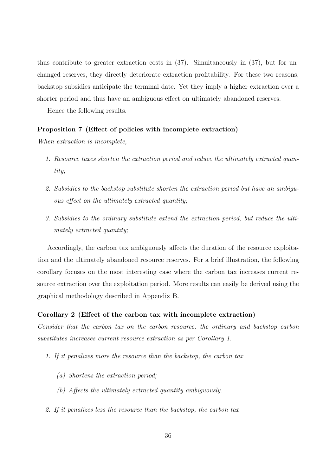thus contribute to greater extraction costs in (37). Simultaneously in (37), but for unchanged reserves, they directly deteriorate extraction profitability. For these two reasons, backstop subsidies anticipate the terminal date. Yet they imply a higher extraction over a shorter period and thus have an ambiguous effect on ultimately abandoned reserves.

Hence the following results.

#### Proposition 7 (Effect of policies with incomplete extraction)

When extraction is incomplete,

- 1. Resource taxes shorten the extraction period and reduce the ultimately extracted quantitu:
- 2. Subsidies to the backstop substitute shorten the extraction period but have an ambiguous effect on the ultimately extracted quantity;
- 3. Subsidies to the ordinary substitute extend the extraction period, but reduce the ultimately extracted quantity;

Accordingly, the carbon tax ambiguously affects the duration of the resource exploitation and the ultimately abandoned resource reserves. For a brief illustration, the following corollary focuses on the most interesting case where the carbon tax increases current resource extraction over the exploitation period. More results can easily be derived using the graphical methodology described in Appendix B.

#### Corollary 2 (Effect of the carbon tax with incomplete extraction)

Consider that the carbon tax on the carbon resource, the ordinary and backstop carbon substitutes increases current resource extraction as per Corollary 1.

- 1. If it penalizes more the resource than the backstop, the carbon tax
	- (a) Shortens the extraction period;
	- (b) Affects the ultimately extracted quantity ambiguously.
- 2. If it penalizes less the resource than the backstop, the carbon tax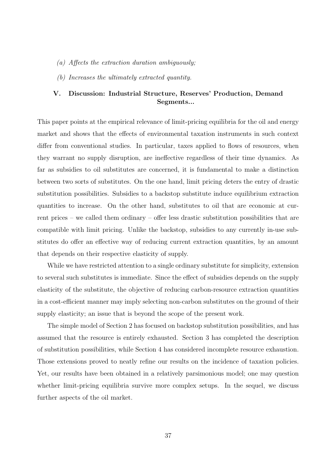- (a) Affects the extraction duration ambiguously;
- (b) Increases the ultimately extracted quantity.

# V. Discussion: Industrial Structure, Reserves' Production, Demand Segments...

This paper points at the empirical relevance of limit-pricing equilibria for the oil and energy market and shows that the effects of environmental taxation instruments in such context differ from conventional studies. In particular, taxes applied to flows of resources, when they warrant no supply disruption, are ineffective regardless of their time dynamics. As far as subsidies to oil substitutes are concerned, it is fundamental to make a distinction between two sorts of substitutes. On the one hand, limit pricing deters the entry of drastic substitution possibilities. Subsidies to a backstop substitute induce equilibrium extraction quantities to increase. On the other hand, substitutes to oil that are economic at current prices – we called them ordinary – offer less drastic substitution possibilities that are compatible with limit pricing. Unlike the backstop, subsidies to any currently in-use substitutes do offer an effective way of reducing current extraction quantities, by an amount that depends on their respective elasticity of supply.

While we have restricted attention to a single ordinary substitute for simplicity, extension to several such substitutes is immediate. Since the effect of subsidies depends on the supply elasticity of the substitute, the objective of reducing carbon-resource extraction quantities in a cost-efficient manner may imply selecting non-carbon substitutes on the ground of their supply elasticity; an issue that is beyond the scope of the present work.

The simple model of Section 2 has focused on backstop substitution possibilities, and has assumed that the resource is entirely exhausted. Section 3 has completed the description of substitution possibilities, while Section 4 has considered incomplete resource exhaustion. Those extensions proved to neatly refine our results on the incidence of taxation policies. Yet, our results have been obtained in a relatively parsimonious model; one may question whether limit-pricing equilibria survive more complex setups. In the sequel, we discuss further aspects of the oil market.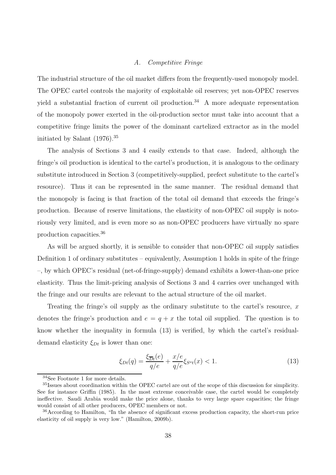#### A. Competitive Fringe

The industrial structure of the oil market differs from the frequently-used monopoly model. The OPEC cartel controls the majority of exploitable oil reserves; yet non-OPEC reserves yield a substantial fraction of current oil production.<sup>34</sup> A more adequate representation of the monopoly power exerted in the oil-production sector must take into account that a competitive fringe limits the power of the dominant cartelized extractor as in the model initiated by Salant (1976).<sup>35</sup>

The analysis of Sections 3 and 4 easily extends to that case. Indeed, although the fringe's oil production is identical to the cartel's production, it is analogous to the ordinary substitute introduced in Section 3 (competitively-supplied, prefect substitute to the cartel's resource). Thus it can be represented in the same manner. The residual demand that the monopoly is facing is that fraction of the total oil demand that exceeds the fringe's production. Because of reserve limitations, the elasticity of non-OPEC oil supply is notoriously very limited, and is even more so as non-OPEC producers have virtually no spare production capacities.<sup>36</sup>

As will be argued shortly, it is sensible to consider that non-OPEC oil supply satisfies Definition 1 of ordinary substitutes – equivalently, Assumption 1 holds in spite of the fringe –, by which OPEC's residual (net-of-fringe-supply) demand exhibits a lower-than-one price elasticity. Thus the limit-pricing analysis of Sections 3 and 4 carries over unchanged with the fringe and our results are relevant to the actual structure of the oil market.

Treating the fringe's oil supply as the ordinary substitute to the cartel's resource,  $x$ denotes the fringe's production and  $e = q + x$  the total oil supplied. The question is to know whether the inequality in formula (13) is verified, by which the cartel's residualdemand elasticity  $\xi_{Dt}$  is lower than one:

$$
\xi_{Dt}(q) = \frac{\xi_{\overline{Dt}}(e)}{q/e} + \frac{x/e}{q/e} \xi_{S^o t}(x) < 1. \tag{13}
$$

<sup>34</sup>See Footnote 1 for more details.

<sup>35</sup>Issues about coordination within the OPEC cartel are out of the scope of this discussion for simplicity. See for instance Griffin (1985). In the most extreme conceivable case, the cartel would be completely ineffective. Saudi Arabia would make the price alone, thanks to very large spare capacities; the fringe would consist of all other producers, OPEC members or not.

<sup>36</sup>According to Hamilton, "In the absence of significant excess production capacity, the short-run price elasticity of oil supply is very low." (Hamilton, 2009b).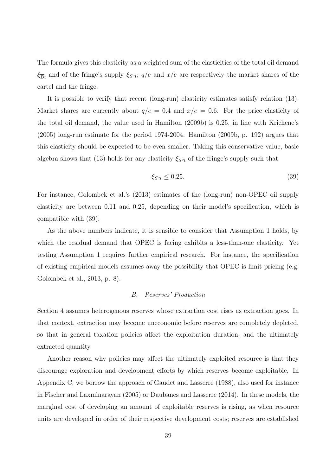The formula gives this elasticity as a weighted sum of the elasticities of the total oil demand  $\xi_{\overline{D}t}$  and of the fringe's supply  $\xi_{S^o t}$ ;  $q/e$  and  $x/e$  are respectively the market shares of the cartel and the fringe.

It is possible to verify that recent (long-run) elasticity estimates satisfy relation (13). Market shares are currently about  $q/e = 0.4$  and  $x/e = 0.6$ . For the price elasticity of the total oil demand, the value used in Hamilton (2009b) is 0.25, in line with Krichene's (2005) long-run estimate for the period 1974-2004. Hamilton (2009b, p. 192) argues that this elasticity should be expected to be even smaller. Taking this conservative value, basic algebra shows that (13) holds for any elasticity  $\xi_{S<sup>o</sup>t}$  of the fringe's supply such that

$$
\xi_{S^o t} \le 0.25. \tag{39}
$$

For instance, Golombek et al.'s (2013) estimates of the (long-run) non-OPEC oil supply elasticity are between 0.11 and 0.25, depending on their model's specification, which is compatible with (39).

As the above numbers indicate, it is sensible to consider that Assumption 1 holds, by which the residual demand that OPEC is facing exhibits a less-than-one elasticity. Yet testing Assumption 1 requires further empirical research. For instance, the specification of existing empirical models assumes away the possibility that OPEC is limit pricing (e.g. Golombek et al., 2013, p. 8).

#### B. Reserves' Production

Section 4 assumes heterogenous reserves whose extraction cost rises as extraction goes. In that context, extraction may become uneconomic before reserves are completely depleted, so that in general taxation policies affect the exploitation duration, and the ultimately extracted quantity.

Another reason why policies may affect the ultimately exploited resource is that they discourage exploration and development efforts by which reserves become exploitable. In Appendix C, we borrow the approach of Gaudet and Lasserre (1988), also used for instance in Fischer and Laxminarayan (2005) or Daubanes and Lasserre (2014). In these models, the marginal cost of developing an amount of exploitable reserves is rising, as when resource units are developed in order of their respective development costs; reserves are established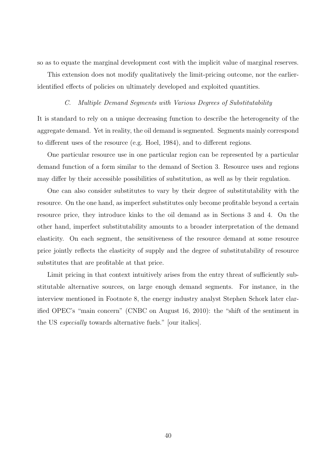so as to equate the marginal development cost with the implicit value of marginal reserves.

This extension does not modify qualitatively the limit-pricing outcome, nor the earlieridentified effects of policies on ultimately developed and exploited quantities.

#### C. Multiple Demand Segments with Various Degrees of Substitutability

It is standard to rely on a unique decreasing function to describe the heterogeneity of the aggregate demand. Yet in reality, the oil demand is segmented. Segments mainly correspond to different uses of the resource (e.g. Hoel, 1984), and to different regions.

One particular resource use in one particular region can be represented by a particular demand function of a form similar to the demand of Section 3. Resource uses and regions may differ by their accessible possibilities of substitution, as well as by their regulation.

One can also consider substitutes to vary by their degree of substitutability with the resource. On the one hand, as imperfect substitutes only become profitable beyond a certain resource price, they introduce kinks to the oil demand as in Sections 3 and 4. On the other hand, imperfect substitutability amounts to a broader interpretation of the demand elasticity. On each segment, the sensitiveness of the resource demand at some resource price jointly reflects the elasticity of supply and the degree of substitutability of resource substitutes that are profitable at that price.

Limit pricing in that context intuitively arises from the entry threat of sufficiently substitutable alternative sources, on large enough demand segments. For instance, in the interview mentioned in Footnote 8, the energy industry analyst Stephen Schork later clarified OPEC's "main concern" (CNBC on August 16, 2010): the "shift of the sentiment in the US especially towards alternative fuels." [our italics].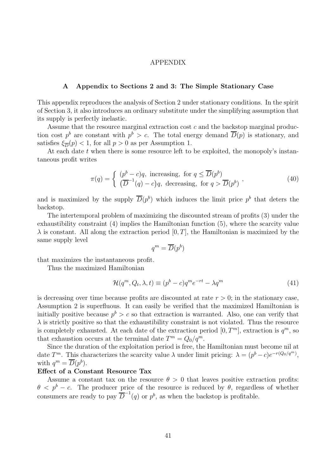#### APPENDIX

# A Appendix to Sections 2 and 3: The Simple Stationary Case

This appendix reproduces the analysis of Section 2 under stationary conditions. In the spirit of Section 3, it also introduces an ordinary substitute under the simplifying assumption that its supply is perfectly inelastic.

Assume that the resource marginal extraction cost c and the backstop marginal production cost  $p^b$  are constant with  $p^b > c$ . The total energy demand  $\overline{D}(p)$  is stationary, and satisfies  $\xi_{\overline{D}}(p) < 1$ , for all  $p > 0$  as per Assumption 1.

At each date t when there is some resource left to be exploited, the monopoly's instantaneous profit writes

$$
\pi(q) = \begin{cases} (p^b - c)q, & \text{increasing, for } q \le \overline{D}(p^b) \\ (\overline{D}^{-1}(q) - c)q, & \text{decreasing, for } q > \overline{D}(p^b) \end{cases}
$$
\n(40)

and is maximized by the supply  $\overline{D}(p^b)$  which induces the limit price  $p^b$  that deters the backstop.

The intertemporal problem of maximizing the discounted stream of profits (3) under the exhaustibility constraint (4) implies the Hamiltonian function (5), where the scarcity value  $\lambda$  is constant. All along the extraction period [0, T], the Hamiltonian is maximized by the same supply level

$$
q^m = \overline{D}(p^b)
$$

that maximizes the instantaneous profit.

Thus the maximized Hamiltonian

$$
\mathcal{H}(q^m, Q_t, \lambda, t) \equiv (p^b - c)q^m e^{-rt} - \lambda q^m \tag{41}
$$

is decreasing over time because profits are discounted at rate  $r > 0$ ; in the stationary case, Assumption 2 is superfluous. It can easily be verified that the maximized Hamiltonian is initially positive because  $p^b > c$  so that extraction is warranted. Also, one can verify that  $\lambda$  is strictly positive so that the exhaustibility constraint is not violated. Thus the resource is completely exhausted. At each date of the extraction period  $[0, T<sup>m</sup>]$ , extraction is  $q<sup>m</sup>$ , so that exhaustion occurs at the terminal date  $T^m = Q_0/q^m$ .

Since the duration of the exploitation period is free, the Hamiltonian must become nil at date  $T^m$ . This characterizes the scarcity value  $\lambda$  under limit pricing:  $\lambda = (p^b - c)e^{-r(Q_0/q^m)}$ , with  $q^m = \overline{D}(p^b)$ .

#### Effect of a Constant Resource Tax

Assume a constant tax on the resource  $\theta > 0$  that leaves positive extraction profits:  $\theta < p^{b} - c$ . The producer price of the resource is reduced by  $\theta$ , regardless of whether consumers are ready to pay  $\overline{D}^{-1}(q)$  or  $p^b$ , as when the backstop is profitable.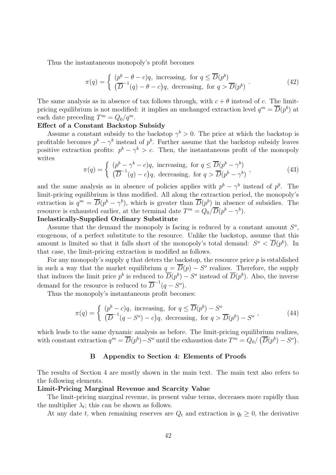Thus the instantaneous monopoly's profit becomes

$$
\pi(q) = \begin{cases} (p^b - \theta - c)q, & \text{increasing, for } q \le \overline{D}(p^b) \\ (\overline{D}^{-1}(q) - \theta - c)q, & \text{decreasing, for } q > \overline{D}(p^b) \end{cases} \tag{42}
$$

The same analysis as in absence of tax follows through, with  $c + \theta$  instead of c. The limitpricing equilibrium is not modified: it implies an unchanged extraction level  $q^m = \overline{D}(p^b)$  at each date preceding  $T^m = Q_0/q^m$ .

#### Effect of a Constant Backstop Subsidy

Assume a constant subsidy to the backstop  $\gamma^b > 0$ . The price at which the backstop is profitable becomes  $p^{b} - \gamma^{b}$  instead of  $p^{b}$ . Further assume that the backstop subsidy leaves positive extraction profits:  $p^{b} - \gamma^{b} > c$ . Then, the instantaneous profit of the monopoly writes

$$
\pi(q) = \begin{cases}\n(p^b - \gamma^b - c)q, & \text{increasing, for } q \le \overline{D}(p^b - \gamma^b) \\
(\overline{D}^{-1}(q) - c)q, & \text{decreasing, for } q > \overline{D}(p^b - \gamma^b)\n\end{cases} (43)
$$

and the same analysis as in absence of policies applies with  $p^{b} - \gamma^{b}$  instead of  $p^{b}$ . The limit-pricing equilibrium is thus modified. All along the extraction period, the monopoly's extraction is  $q^m = \overline{D}(p^b - \gamma^b)$ , which is greater than  $\overline{D}(p^b)$  in absence of subsidies. The resource is exhausted earlier, at the terminal date  $T^m = Q_0 / \overline{D}(p^b - \gamma^b)$ .

# Inelastically-Supplied Ordinary Substitute

Assume that the demand the monopoly is facing is reduced by a constant amount  $S^o$ , exogenous, of a perfect substitute to the resource. Unlike the backstop, assume that this amount is limited so that it falls short of the monopoly's total demand:  $S^o < \overline{D}(p^b)$ . In that case, the limit-pricing extraction is modified as follows.

For any monopoly's supply q that deters the backstop, the resource price  $p$  is established in such a way that the market equilibrium  $q = \overline{D}(p) - S^{\circ}$  realizes. Therefore, the supply that induces the limit price  $p^b$  is reduced to  $\overline{D}(p^b) - S^o$  instead of  $\overline{D}(p^b)$ . Also, the inverse demand for the resource is reduced to  $\overline{D}^{-1}(q-S^o)$ .

Thus the monopoly's instantaneous profit becomes:

$$
\pi(q) = \begin{cases} (p^b - c)q, & \text{increasing, for } q \le \overline{D}(p^b) - S^o \\ (\overline{D}^{-1}(q - S^o) - c)q, & \text{decreasing, for } q > \overline{D}(p^b) - S^o \end{cases}
$$
\n(44)

which leads to the same dynamic analysis as before. The limit-pricing equilibrium realizes, with constant extraction  $q^m = \overline{D}(p^b) - S^o$  until the exhaustion date  $T^m = Q_0 / (\overline{D}(p^b) - S^o)$ .

# B Appendix to Section 4: Elements of Proofs

The results of Section 4 are mostly shown in the main text. The main text also refers to the following elements.

#### Limit-Pricing Marginal Revenue and Scarcity Value

The limit-pricing marginal revenue, in present value terms, decreases more rapidly than the multiplier  $\lambda_t$ ; this can be shown as follows.

At any date t, when remaining reserves are  $Q_t$  and extraction is  $q_t \geq 0$ , the derivative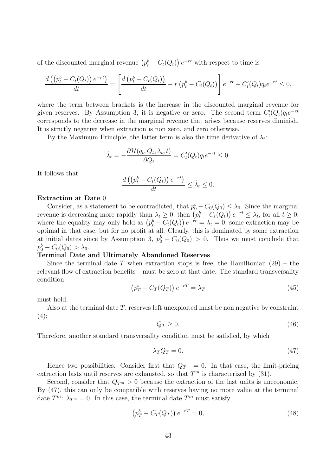of the discounted marginal revenue  $(p_t^b - C_t(Q_t)) e^{-rt}$  with respect to time is

$$
\frac{d\left(\left(p_t^b - C_t(Q_t)\right)e^{-rt}\right)}{dt} = \left[\frac{d\left(p_t^b - C_t(Q_t)\right)}{dt} - r\left(p_t^b - C_t(Q_t)\right)\right]e^{-rt} + C'_t(Q_t)q_t e^{-rt} \leq 0,
$$

where the term between brackets is the increase in the discounted marginal revenue for given reserves. By Assumption 3, it is negative or zero. The second term  $C'_{t}(Q_{t})q_{t}e^{-rt}$ corresponds to the decrease in the marginal revenue that arises because reserves diminish. It is strictly negative when extraction is non zero, and zero otherwise.

By the Maximum Principle, the latter term is also the time derivative of  $\lambda_t$ :

$$
\dot{\lambda}_t = -\frac{\partial \mathcal{H}(q_t, Q_t, \lambda_t, t)}{\partial Q_t} = C'_t(Q_t) q_t e^{-rt} \leq 0.
$$

It follows that

$$
\frac{d\left(\left(p_t^b - C_t(Q_t)\right)e^{-rt}\right)}{dt} \leq \dot{\lambda}_t \leq 0.
$$

#### Extraction at Date 0

Consider, as a statement to be contradicted, that  $p_0^b - C_0(Q_0) \leq \lambda_0$ . Since the marginal revenue is decreasing more rapidly than  $\lambda_t \geq 0$ , then  $(p_t^b - C_t(Q_t)) e^{-rt} \leq \lambda_t$ , for all  $t \geq 0$ , where the equality may only hold as  $(p_t^b - C_t(Q_t)) e^{-rt} = \lambda_t = 0$ ; some extraction may be optimal in that case, but for no profit at all. Clearly, this is dominated by some extraction at initial dates since by Assumption 3,  $p_0^b - C_0(Q_0) > 0$ . Thus we must conclude that  $p_0^b - C_0(Q_0) > \lambda_0.$ 

#### Terminal Date and Ultimately Abandoned Reserves

Since the terminal date T when extraction stops is free, the Hamiltonian  $(29)$  – the relevant flow of extraction benefits – must be zero at that date. The standard transversality condition

$$
\left(p_T^b - C_T(Q_T)\right)e^{-rT} = \lambda_T\tag{45}
$$

must hold.

Also at the terminal date T, reserves left unexploited must be non negative by constraint  $(4)$ :

$$
Q_T \ge 0. \tag{46}
$$

Therefore, another standard transversality condition must be satisfied, by which

$$
\lambda_T Q_T = 0. \tag{47}
$$

Hence two possibilities. Consider first that  $Q_{T<sup>m</sup>} = 0$ . In that case, the limit-pricing extraction lasts until reserves are exhausted, so that  $T<sup>m</sup>$  is characterized by (31).

Second, consider that  $Q_{\mathcal{F}^m} > 0$  because the extraction of the last units is uneconomic. By (47), this can only be compatible with reserves having no more value at the terminal date  $T^m$ :  $\lambda_{T^m} = 0$ . In this case, the terminal date  $T^m$  must satisfy

$$
\left(p_T^b - C_T(Q_T)\right)e^{-rT} = 0,\tag{48}
$$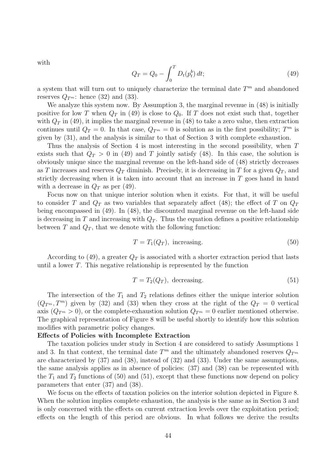with

$$
Q_T = Q_0 - \int_0^T D_t(p_t^b) dt; \tag{49}
$$

a system that will turn out to uniquely characterize the terminal date  $T<sup>m</sup>$  and abandoned reserves  $Q_{\mathcal{T}^m}$ : hence (32) and (33).

We analyze this system now. By Assumption 3, the marginal revenue in  $(48)$  is initially positive for low T when  $Q_T$  in (49) is close to  $Q_0$ . If T does not exist such that, together with  $Q_T$  in (49), it implies the marginal revenue in (48) to take a zero value, then extraction continues until  $Q_T = 0$ . In that case,  $Q_{T^m} = 0$  is solution as in the first possibility;  $T^m$  is given by (31), and the analysis is similar to that of Section 3 with complete exhaustion.

Thus the analysis of Section 4 is most interesting in the second possibility, when T exists such that  $Q_T > 0$  in (49) and T jointly satisfy (48). In this case, the solution is obviously unique since the marginal revenue on the left-hand side of (48) strictly decreases as T increases and reserves  $Q_T$  diminish. Precisely, it is decreasing in T for a given  $Q_T$ , and strictly decreasing when it is taken into account that an increase in T goes hand in hand with a decrease in  $Q_T$  as per (49).

Focus now on that unique interior solution when it exists. For that, it will be useful to consider T and  $Q_T$  as two variables that separately affect (48); the effect of T on  $Q_T$ being encompassed in (49). In (48), the discounted marginal revenue on the left-hand side is decreasing in T and increasing with  $Q_T$ . Thus the equation defines a positive relationship between  $T$  and  $Q_T$ , that we denote with the following function:

$$
T = T_1(Q_T), \text{ increasing.} \tag{50}
$$

According to (49), a greater  $Q_T$  is associated with a shorter extraction period that lasts until a lower  $T$ . This negative relationship is represented by the function

$$
T = T_2(Q_T), \text{ decreasing.} \tag{51}
$$

The intersection of the  $T_1$  and  $T_2$  relations defines either the unique interior solution  $(Q_{T^m}, T^m)$  given by (32) and (33) when they cross at the right of the  $Q_T = 0$  vertical axis  $(Q_{T<sup>m</sup>}>0)$ , or the complete-exhaustion solution  $Q_{T<sup>m</sup>} = 0$  earlier mentioned otherwise. The graphical representation of Figure 8 will be useful shortly to identify how this solution modifies with parametric policy changes.

### Effects of Policies with Incomplete Extraction

The taxation policies under study in Section 4 are considered to satisfy Assumptions 1 and 3. In that context, the terminal date  $T^m$  and the ultimately abandoned reserves  $Q_{T^m}$ are characterized by (37) and (38), instead of (32) and (33). Under the same assumptions, the same analysis applies as in absence of policies: (37) and (38) can be represented with the  $T_1$  and  $T_2$  functions of (50) and (51), except that these functions now depend on policy parameters that enter (37) and (38).

We focus on the effects of taxation policies on the interior solution depicted in Figure 8. When the solution implies complete exhaustion, the analysis is the same as in Section 3 and is only concerned with the effects on current extraction levels over the exploitation period; effects on the length of this period are obvious. In what follows we derive the results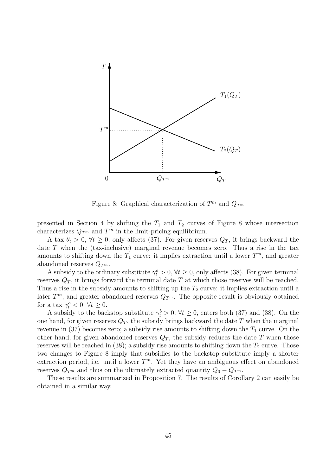

Figure 8: Graphical characterization of  $T^m$  and  $Q_{T^m}$ 

presented in Section 4 by shifting the  $T_1$  and  $T_2$  curves of Figure 8 whose intersection characterizes  $Q_{T^m}$  and  $T^m$  in the limit-pricing equilibrium.

A tax  $\theta_t > 0$ ,  $\forall t \geq 0$ , only affects (37). For given reserves  $Q_T$ , it brings backward the date T when the (tax-inclusive) marginal revenue becomes zero. Thus a rise in the tax amounts to shifting down the  $T_1$  curve: it implies extraction until a lower  $T^m$ , and greater abandoned reserves  $Q_{T^m}$ .

A subsidy to the ordinary substitute  $\gamma_t^o > 0$ ,  $\forall t \geq 0$ , only affects (38). For given terminal reserves  $Q_T$ , it brings forward the terminal date T at which those reserves will be reached. Thus a rise in the subsidy amounts to shifting up the  $T_2$  curve: it implies extraction until a later  $T^m$ , and greater abandoned reserves  $Q_{T^m}$ . The opposite result is obviously obtained for a tax  $\gamma_t^o < 0$ ,  $\forall t \geq 0$ .

A subsidy to the backstop substitute  $\gamma_t^b > 0$ ,  $\forall t \geq 0$ , enters both (37) and (38). On the one hand, for given reserves  $Q_T$ , the subsidy brings backward the date T when the marginal revenue in (37) becomes zero; a subsidy rise amounts to shifting down the  $T_1$  curve. On the other hand, for given abandoned reserves  $Q_T$ , the subsidy reduces the date T when those reserves will be reached in (38); a subsidy rise amounts to shifting down the  $T_2$  curve. Those two changes to Figure 8 imply that subsidies to the backstop substitute imply a shorter extraction period, i.e. until a lower  $T^m$ . Yet they have an ambiguous effect on abandoned reserves  $Q_{T<sup>m</sup>}$  and thus on the ultimately extracted quantity  $Q_0 - Q_{T<sup>m</sup>}$ .

These results are summarized in Proposition 7. The results of Corollary 2 can easily be obtained in a similar way.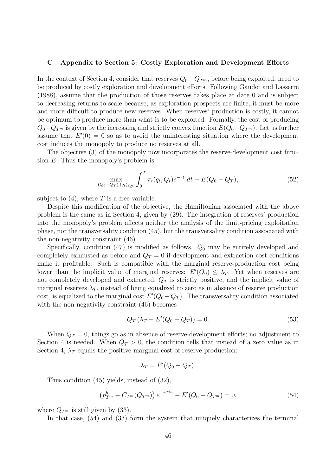#### C Appendix to Section 5: Costly Exploration and Development Efforts

In the context of Section 4, consider that reserves  $Q_0 - Q_{T^m}$ , before being exploited, need to be produced by costly exploration and development efforts. Following Gaudet and Lasserre (1988), assume that the production of those reserves takes place at date 0 and is subject to decreasing returns to scale because, as exploration prospects are finite, it must be more and more difficult to produce new reserves. When reserves' production is costly, it cannot be optimum to produce more than what is to be exploited. Formally, the cost of producing  $Q_0-Q_{T^m}$  is given by the increasing and strictly convex function  $E(Q_0-Q_{T^m})$ . Let us further assume that  $E'(0) = 0$  so as to avoid the uninteresting situation where the development cost induces the monopoly to produce no reserves at all.

The objective (3) of the monopoly now incorporates the reserve-development cost function E. Thus the monopoly's problem is

$$
\max_{(Q_0 - Q_T), (q_t)_{t \ge 0}} \int_0^T \pi_t(q_t, Q_t) e^{-rt} dt - E(Q_0 - Q_T), \tag{52}
$$

subject to  $(4)$ , where T is a free variable.

Despite this modification of the objective, the Hamiltonian associated with the above problem is the same as in Section 4, given by (29). The integration of reserves' production into the monopoly's problem affects neither the analysis of the limit-pricing exploitation phase, nor the transversality condition (45), but the transversality condition associated with the non-negativity constraint (46).

Specifically, condition  $(47)$  is modified as follows.  $Q_0$  may be entirely developed and completely exhausted as before and  $Q_T = 0$  if development and extraction cost conditions make it profitable. Such is compatible with the marginal reserve-production cost being lower than the implicit value of marginal reserves:  $E'(Q_0) \leq \lambda_T$ . Yet when reserves are not completely developed and extracted,  $Q_T$  is strictly positive, and the implicit value of marginal reserves  $\lambda_T$ , instead of being equalized to zero as in absence of reserve production cost, is equalized to the marginal cost  $E'(Q_0 - Q_T)$ . The transversality condition associated with the non-negativity constraint (46) becomes

$$
Q_T (\lambda_T - E'(Q_0 - Q_T)) = 0.
$$
\n(53)

When  $Q_T = 0$ , things go as in absence of reserve-development efforts; no adjustment to Section 4 is needed. When  $Q_T > 0$ , the condition tells that instead of a zero value as in Section 4,  $\lambda_T$  equals the positive marginal cost of reserve production:

$$
\lambda_T = E'(Q_0 - Q_T).
$$

Thus condition (45) yields, instead of (32),

$$
\left(p_{T^m}^b - C_{T^m}(Q_{T^m})\right)e^{-rT^m} - E'(Q_0 - Q_{T^m}) = 0,
$$
\n(54)

where  $Q_{\mathcal{T}^m}$  is still given by (33).

In that case, (54) and (33) form the system that uniquely characterizes the terminal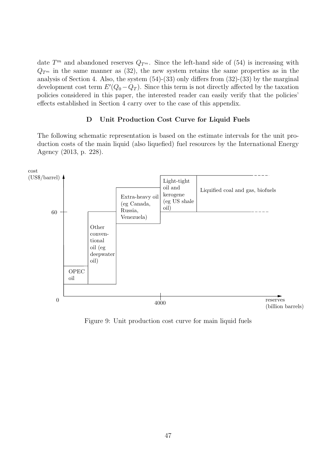date  $T^m$  and abandoned reserves  $Q_{T^m}$ . Since the left-hand side of (54) is increasing with  $Q_{T<sup>m</sup>}$  in the same manner as (32), the new system retains the same properties as in the analysis of Section 4. Also, the system (54)-(33) only differs from (32)-(33) by the marginal development cost term  $E'(Q_0 - Q_T)$ . Since this term is not directly affected by the taxation policies considered in this paper, the interested reader can easily verify that the policies' effects established in Section 4 carry over to the case of this appendix.

## D Unit Production Cost Curve for Liquid Fuels

The following schematic representation is based on the estimate intervals for the unit production costs of the main liquid (also liquefied) fuel resources by the International Energy Agency (2013, p. 228).



Figure 9: Unit production cost curve for main liquid fuels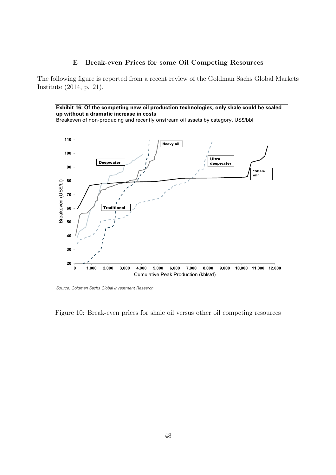# E Break-even Prices for some Oil Competing Resources

The following figure is reported from a recent review of the Goldman Sachs Global Markets Institute (2014, p. 21).

**Exhibit 16: Of the competing new oil production technologies, only shale could be scaled up without a dramatic increase in costs** 

Breakeven of non-producing and recently onstream oil assets by category, US\$/bbl



Source: Goldman Sachs Global Investment Research

Figure 10: Break-even prices for shale oil versus other oil competing resources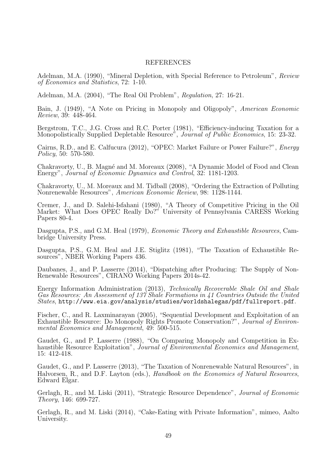# REFERENCES

Adelman, M.A. (1990), "Mineral Depletion, with Special Reference to Petroleum", Review of Economics and Statistics, 72: 1-10.

Adelman, M.A. (2004), "The Real Oil Problem", Regulation, 27: 16-21.

Bain, J. (1949), "A Note on Pricing in Monopoly and Oligopoly", American Economic Review, 39: 448-464.

Bergstrom, T.C., J.G. Cross and R.C. Porter (1981), "Efficiency-inducing Taxation for a Monopolistically Supplied Depletable Resource", *Journal of Public Economics*, 15: 23-32.

Cairns, R.D., and E. Calfucura (2012), "OPEC: Market Failure or Power Failure?", Energy Policy, 50: 570-580.

Chakravorty, U., B. Magné and M. Moreaux (2008), "A Dynamic Model of Food and Clean Energy", Journal of Economic Dynamics and Control, 32: 1181-1203.

Chakravorty, U., M. Moreaux and M. Tidball (2008), "Ordering the Extraction of Polluting Nonrenewable Resources", American Economic Review, 98: 1128-1144.

Cremer, J., and D. Salehi-Isfahani (1980), "A Theory of Competitive Pricing in the Oil Market: What Does OPEC Really Do?" University of Pennsylvania CARESS Working Papers 80-4.

Dasgupta, P.S., and G.M. Heal (1979), Economic Theory and Exhaustible Resources, Cambridge University Press.

Dasgupta, P.S., G.M. Heal and J.E. Stiglitz (1981), "The Taxation of Exhaustible Resources", NBER Working Papers 436.

Daubanes, J., and P. Lasserre (2014), "Dispatching after Producing: The Supply of Non-Renewable Resources", CIRANO Working Papers 2014s-42.

Energy Information Administration (2013), Technically Recoverable Shale Oil and Shale Gas Resources: An Assessment of 137 Shale Formations in 41 Countries Outside the United  $States, http://www.eia.gov/an<sub>a</sub>lysis/studies/worldsh<sub>a</sub>legas/pdf/fullreport.pdf.$ 

Fischer, C., and R. Laxminarayan (2005), "Sequential Development and Exploitation of an Exhaustible Resource: Do Monopoly Rights Promote Conservation?", Journal of Environmental Economics and Management, 49: 500-515.

Gaudet, G., and P. Lasserre (1988), "On Comparing Monopoly and Competition in Exhaustible Resource Exploitation", *Journal of Environmental Economics and Management*, 15: 412-418.

Gaudet, G., and P. Lasserre (2013), "The Taxation of Nonrenewable Natural Resources", in Halvorsen, R., and D.F. Layton (eds.), *Handbook on the Economics of Natural Resources*, Edward Elgar.

Gerlagh, R., and M. Liski (2011), "Strategic Resource Dependence", Journal of Economic Theory, 146: 699-727.

Gerlagh, R., and M. Liski (2014), "Cake-Eating with Private Information", mimeo, Aalto University.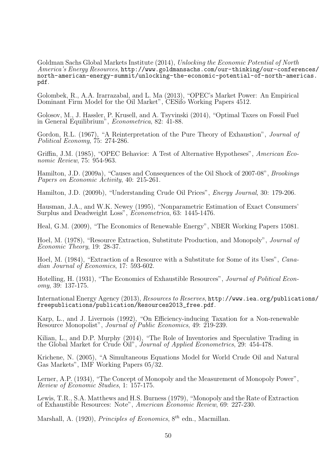Goldman Sachs Global Markets Institute (2014), Unlocking the Economic Potential of North America's Energy Resources, http://www.goldmansachs.com/our-thinking/our-conferences/ north-american-energy-summit/unlocking-the-economic-potential-of-north-americas. pdf.

Golombek, R., A.A. Irarrazabal, and L. Ma (2013), "OPEC's Market Power: An Empirical Dominant Firm Model for the Oil Market", CESifo Working Papers 4512.

Golosov, M., J. Hassler, P. Krusell, and A. Tsyvinski (2014), "Optimal Taxes on Fossil Fuel in General Equilibrium", Econometrica, 82: 41-88.

Gordon, R.L. (1967), "A Reinterpretation of the Pure Theory of Exhaustion", Journal of Political Economy, 75: 274-286.

Griffin, J.M. (1985), "OPEC Behavior: A Test of Alternative Hypotheses", American Economic Review, 75: 954-963.

Hamilton, J.D. (2009a), "Causes and Consequences of the Oil Shock of 2007-08", Brookings Papers on Economic Activity, 40: 215-261.

Hamilton, J.D. (2009b), "Understanding Crude Oil Prices", Energy Journal, 30: 179-206.

Hausman, J.A., and W.K. Newey (1995), "Nonparametric Estimation of Exact Consumers' Surplus and Deadweight Loss", Econometrica, 63: 1445-1476.

Heal, G.M. (2009), "The Economics of Renewable Energy", NBER Working Papers 15081.

Hoel, M. (1978), "Resource Extraction, Substitute Production, and Monopoly", Journal of Economic Theory, 19: 28-37.

Hoel, M. (1984), "Extraction of a Resource with a Substitute for Some of its Uses", Canadian Journal of Economics, 17: 593-602.

Hotelling, H. (1931), "The Economics of Exhaustible Resources", Journal of Political Economy, 39: 137-175.

International Energy Agency (2013), Resources to Reserves, http://www.iea.org/publications/ freepublications/publication/Resources2013\_free.pdf.

Karp, L., and J. Livernois (1992), "On Efficiency-inducing Taxation for a Non-renewable Resource Monopolist", Journal of Public Economics, 49: 219-239.

Kilian, L., and D.P. Murphy (2014), "The Role of Inventories and Speculative Trading in the Global Market for Crude Oil", Journal of Applied Econometrics, 29: 454-478.

Krichene, N. (2005), "A Simultaneous Equations Model for World Crude Oil and Natural Gas Markets", IMF Working Papers 05/32.

Lerner, A.P. (1934), "The Concept of Monopoly and the Measurement of Monopoly Power", Review of Economic Studies, 1: 157-175.

Lewis, T.R., S.A. Matthews and H.S. Burness (1979), "Monopoly and the Rate of Extraction of Exhaustible Resources: Note", American Economic Review, 69: 227-230.

Marshall, A. (1920), *Principles of Economics*,  $8^{th}$  edn., Macmillan.